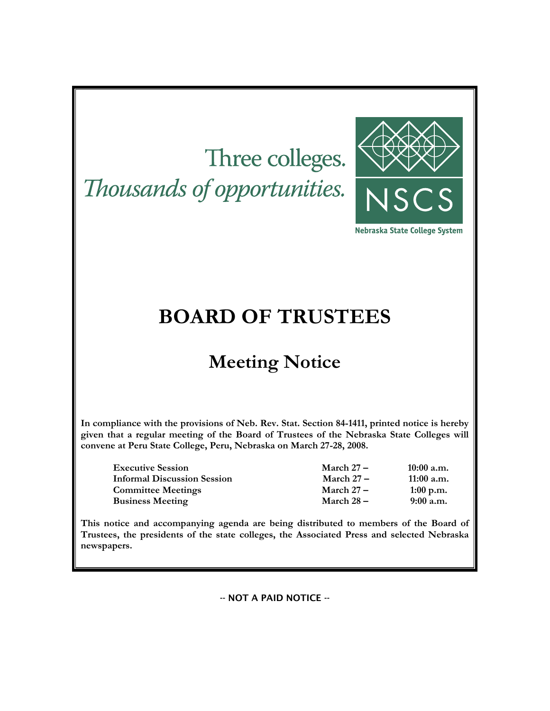# Three colleges.

Thousands of opportunities.



Nebraska State College System

## **BOARD OF TRUSTEES**

## **Meeting Notice**

**In compliance with the provisions of Neb. Rev. Stat. Section 84-1411, printed notice is hereby given that a regular meeting of the Board of Trustees of the Nebraska State Colleges will convene at Peru State College, Peru, Nebraska on March 27-28, 2008.** 

| <b>Executive Session</b>           | March $27-$  | $10:00$ a.m. |
|------------------------------------|--------------|--------------|
| <b>Informal Discussion Session</b> | March $27-$  | $11:00$ a.m. |
| <b>Committee Meetings</b>          | March $27-$  | $1:00$ p.m.  |
| <b>Business Meeting</b>            | March $28 -$ | $9:00$ a.m.  |

**This notice and accompanying agenda are being distributed to members of the Board of Trustees, the presidents of the state colleges, the Associated Press and selected Nebraska newspapers.** 

-- NOT A PAID NOTICE --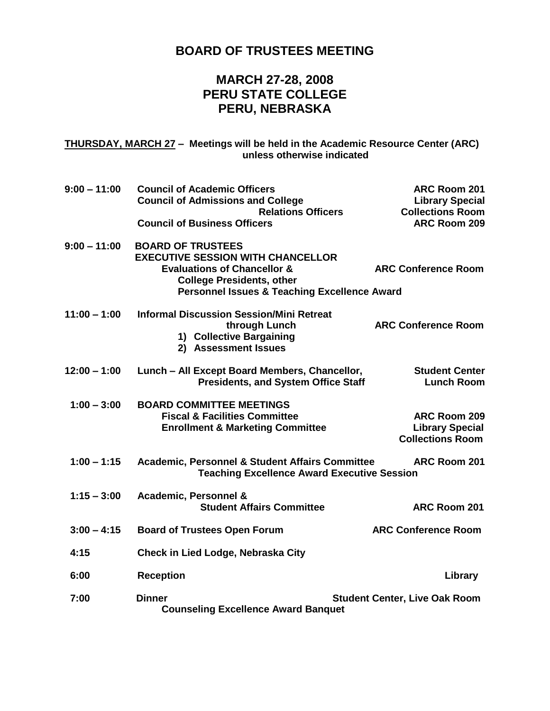## **BOARD OF TRUSTEES MEETING**

## **MARCH 27-28, 2008 PERU STATE COLLEGE PERU, NEBRASKA**

**THURSDAY, MARCH 27 – Meetings will be held in the Academic Resource Center (ARC) unless otherwise indicated**

| $9:00 - 11:00$ | <b>Council of Academic Officers</b><br><b>Council of Admissions and College</b>                                                                                                                               | ARC Room 201<br><b>Library Special</b>                            |
|----------------|---------------------------------------------------------------------------------------------------------------------------------------------------------------------------------------------------------------|-------------------------------------------------------------------|
|                | <b>Relations Officers</b><br><b>Council of Business Officers</b>                                                                                                                                              | <b>Collections Room</b><br>ARC Room 209                           |
| $9:00 - 11:00$ | <b>BOARD OF TRUSTEES</b><br><b>EXECUTIVE SESSION WITH CHANCELLOR</b><br><b>Evaluations of Chancellor &amp;</b><br><b>College Presidents, other</b><br><b>Personnel Issues &amp; Teaching Excellence Award</b> | <b>ARC Conference Room</b>                                        |
| $11:00 - 1:00$ | <b>Informal Discussion Session/Mini Retreat</b><br>through Lunch<br>1) Collective Bargaining<br>2) Assessment Issues                                                                                          | <b>ARC Conference Room</b>                                        |
| $12:00 - 1:00$ | Lunch - All Except Board Members, Chancellor,<br><b>Presidents, and System Office Staff</b>                                                                                                                   | <b>Student Center</b><br><b>Lunch Room</b>                        |
| $1:00 - 3:00$  | <b>BOARD COMMITTEE MEETINGS</b><br><b>Fiscal &amp; Facilities Committee</b><br><b>Enrollment &amp; Marketing Committee</b>                                                                                    | ARC Room 209<br><b>Library Special</b><br><b>Collections Room</b> |
| $1:00 - 1:15$  | <b>Academic, Personnel &amp; Student Affairs Committee</b><br><b>Teaching Excellence Award Executive Session</b>                                                                                              | ARC Room 201                                                      |
| $1:15 - 3:00$  | Academic, Personnel &<br><b>Student Affairs Committee</b>                                                                                                                                                     | <b>ARC Room 201</b>                                               |
| $3:00 - 4:15$  | <b>Board of Trustees Open Forum</b>                                                                                                                                                                           | <b>ARC Conference Room</b>                                        |
| 4:15           | Check in Lied Lodge, Nebraska City                                                                                                                                                                            |                                                                   |
| 6:00           | <b>Reception</b>                                                                                                                                                                                              | Library                                                           |
| 7:00           | <b>Dinner</b><br><b>Counseling Excellence Award Banquet</b>                                                                                                                                                   | <b>Student Center, Live Oak Room</b>                              |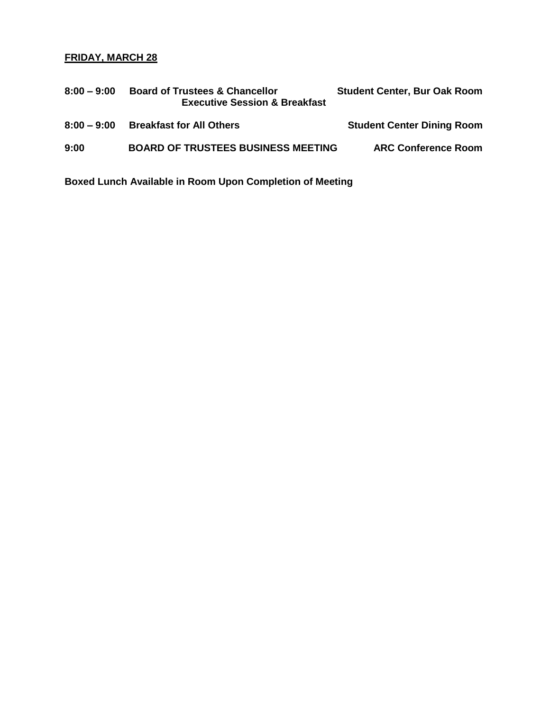### **FRIDAY, MARCH 28**

| $8:00 - 9:00$ | <b>Board of Trustees &amp; Chancellor</b><br><b>Executive Session &amp; Breakfast</b> | <b>Student Center, Bur Oak Room</b> |
|---------------|---------------------------------------------------------------------------------------|-------------------------------------|
| $8:00 - 9:00$ | <b>Breakfast for All Others</b>                                                       | <b>Student Center Dining Room</b>   |
| 9:00          | <b>BOARD OF TRUSTEES BUSINESS MEETING</b>                                             | <b>ARC Conference Room</b>          |

**Boxed Lunch Available in Room Upon Completion of Meeting**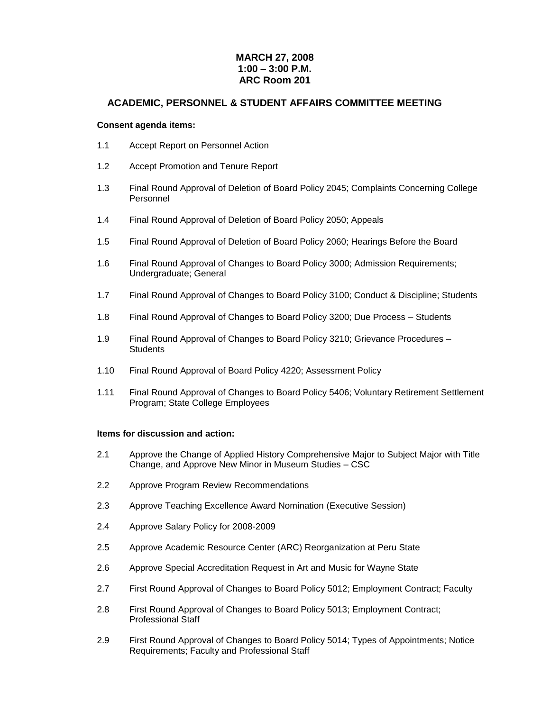#### **MARCH 27, 2008 1:00 – 3:00 P.M. ARC Room 201**

#### **ACADEMIC, PERSONNEL & STUDENT AFFAIRS COMMITTEE MEETING**

#### **Consent agenda items:**

- 1.1 Accept Report on Personnel Action
- 1.2 Accept Promotion and Tenure Report
- 1.3 Final Round Approval of Deletion of Board Policy 2045; Complaints Concerning College Personnel
- 1.4 Final Round Approval of Deletion of Board Policy 2050; Appeals
- 1.5 Final Round Approval of Deletion of Board Policy 2060; Hearings Before the Board
- 1.6 Final Round Approval of Changes to Board Policy 3000; Admission Requirements; Undergraduate; General
- 1.7 Final Round Approval of Changes to Board Policy 3100; Conduct & Discipline; Students
- 1.8 Final Round Approval of Changes to Board Policy 3200; Due Process Students
- 1.9 Final Round Approval of Changes to Board Policy 3210; Grievance Procedures **Students**
- 1.10 Final Round Approval of Board Policy 4220; Assessment Policy
- 1.11 Final Round Approval of Changes to Board Policy 5406; Voluntary Retirement Settlement Program; State College Employees

#### **Items for discussion and action:**

- 2.1 Approve the Change of Applied History Comprehensive Major to Subject Major with Title Change, and Approve New Minor in Museum Studies – CSC
- 2.2 Approve Program Review Recommendations
- 2.3 Approve Teaching Excellence Award Nomination (Executive Session)
- 2.4 Approve Salary Policy for 2008-2009
- 2.5 Approve Academic Resource Center (ARC) Reorganization at Peru State
- 2.6 Approve Special Accreditation Request in Art and Music for Wayne State
- 2.7 First Round Approval of Changes to Board Policy 5012; Employment Contract; Faculty
- 2.8 First Round Approval of Changes to Board Policy 5013; Employment Contract; Professional Staff
- 2.9 First Round Approval of Changes to Board Policy 5014; Types of Appointments; Notice Requirements; Faculty and Professional Staff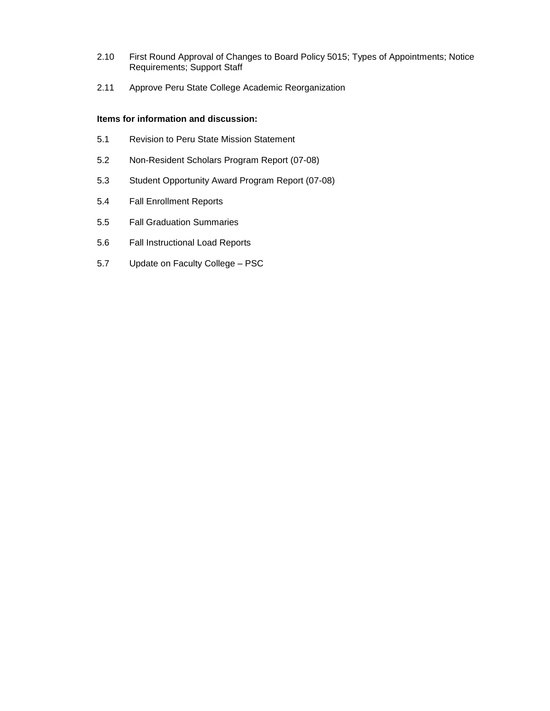- 2.10 First Round Approval of Changes to Board Policy 5015; Types of Appointments; Notice Requirements; Support Staff
- 2.11 Approve Peru State College Academic Reorganization

#### **Items for information and discussion:**

- 5.1 Revision to Peru State Mission Statement
- 5.2 Non-Resident Scholars Program Report (07-08)
- 5.3 Student Opportunity Award Program Report (07-08)
- 5.4 Fall Enrollment Reports
- 5.5 Fall Graduation Summaries
- 5.6 Fall Instructional Load Reports
- 5.7 Update on Faculty College PSC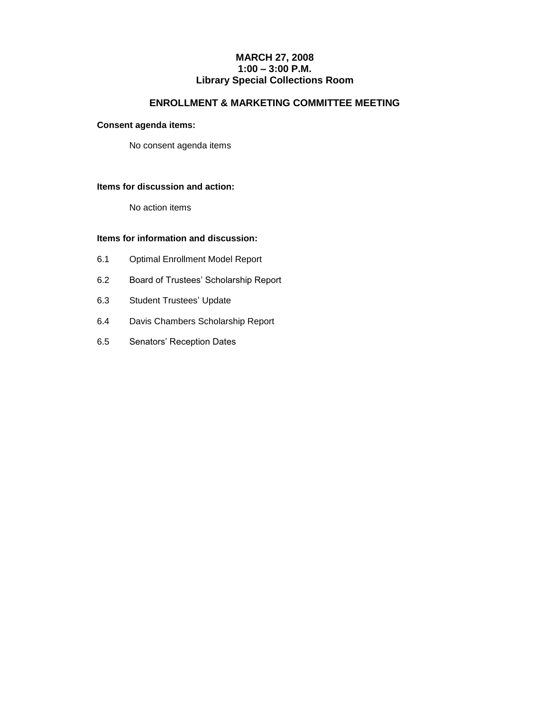#### **MARCH 27, 2008 1:00 – 3:00 P.M. Library Special Collections Room**

#### **ENROLLMENT & MARKETING COMMITTEE MEETING**

#### **Consent agenda items:**

No consent agenda items

#### **Items for discussion and action:**

No action items

#### **Items for information and discussion:**

- 6.1 Optimal Enrollment Model Report
- 6.2 Board of Trustees' Scholarship Report
- 6.3 Student Trustees' Update
- 6.4 Davis Chambers Scholarship Report
- 6.5 Senators' Reception Dates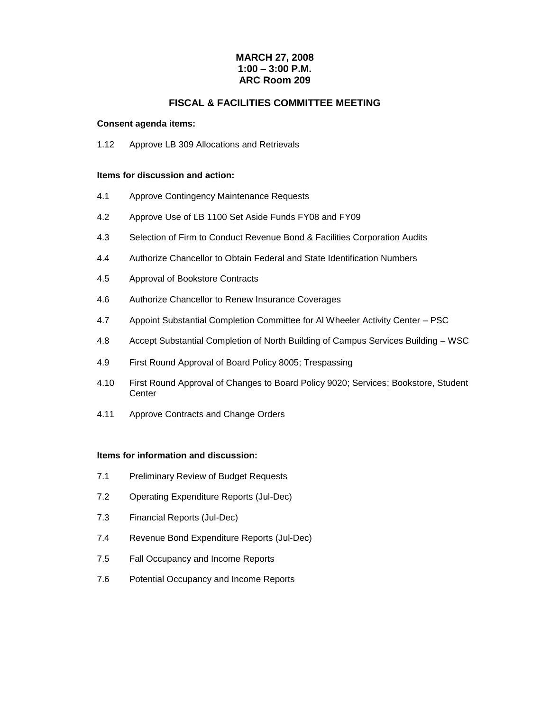#### **MARCH 27, 2008 1:00 – 3:00 P.M. ARC Room 209**

#### **FISCAL & FACILITIES COMMITTEE MEETING**

#### **Consent agenda items:**

1.12 Approve LB 309 Allocations and Retrievals

#### **Items for discussion and action:**

- 4.1 Approve Contingency Maintenance Requests
- 4.2 Approve Use of LB 1100 Set Aside Funds FY08 and FY09
- 4.3 Selection of Firm to Conduct Revenue Bond & Facilities Corporation Audits
- 4.4 Authorize Chancellor to Obtain Federal and State Identification Numbers
- 4.5 Approval of Bookstore Contracts
- 4.6 Authorize Chancellor to Renew Insurance Coverages
- 4.7 Appoint Substantial Completion Committee for Al Wheeler Activity Center PSC
- 4.8 Accept Substantial Completion of North Building of Campus Services Building WSC
- 4.9 First Round Approval of Board Policy 8005; Trespassing
- 4.10 First Round Approval of Changes to Board Policy 9020; Services; Bookstore, Student **Center**
- 4.11 Approve Contracts and Change Orders

#### **Items for information and discussion:**

- 7.1 Preliminary Review of Budget Requests
- 7.2 Operating Expenditure Reports (Jul-Dec)
- 7.3 Financial Reports (Jul-Dec)
- 7.4 Revenue Bond Expenditure Reports (Jul-Dec)
- 7.5 Fall Occupancy and Income Reports
- 7.6 Potential Occupancy and Income Reports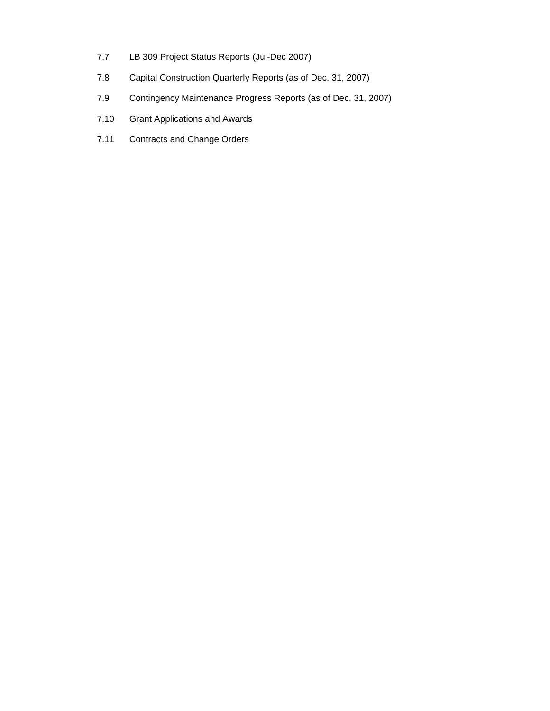- 7.7 LB 309 Project Status Reports (Jul-Dec 2007)
- 7.8 Capital Construction Quarterly Reports (as of Dec. 31, 2007)
- 7.9 Contingency Maintenance Progress Reports (as of Dec. 31, 2007)
- 7.10 Grant Applications and Awards
- 7.11 Contracts and Change Orders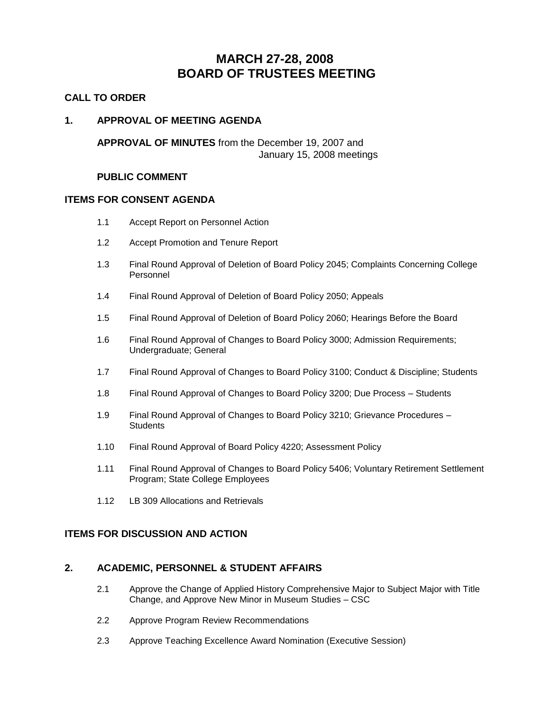## **MARCH 27-28, 2008 BOARD OF TRUSTEES MEETING**

#### **CALL TO ORDER**

#### **1. APPROVAL OF MEETING AGENDA**

**APPROVAL OF MINUTES** from the December 19, 2007 and January 15, 2008 meetings

#### **PUBLIC COMMENT**

#### **ITEMS FOR CONSENT AGENDA**

- 1.1 Accept Report on Personnel Action
- 1.2 Accept Promotion and Tenure Report
- 1.3 Final Round Approval of Deletion of Board Policy 2045; Complaints Concerning College Personnel
- 1.4 Final Round Approval of Deletion of Board Policy 2050; Appeals
- 1.5 Final Round Approval of Deletion of Board Policy 2060; Hearings Before the Board
- 1.6 Final Round Approval of Changes to Board Policy 3000; Admission Requirements; Undergraduate; General
- 1.7 Final Round Approval of Changes to Board Policy 3100; Conduct & Discipline; Students
- 1.8 Final Round Approval of Changes to Board Policy 3200; Due Process Students
- 1.9 Final Round Approval of Changes to Board Policy 3210; Grievance Procedures **Students**
- 1.10 Final Round Approval of Board Policy 4220; Assessment Policy
- 1.11 Final Round Approval of Changes to Board Policy 5406; Voluntary Retirement Settlement Program; State College Employees
- 1.12 LB 309 Allocations and Retrievals

#### **ITEMS FOR DISCUSSION AND ACTION**

#### **2. ACADEMIC, PERSONNEL & STUDENT AFFAIRS**

- 2.1 Approve the Change of Applied History Comprehensive Major to Subject Major with Title Change, and Approve New Minor in Museum Studies – CSC
- 2.2 Approve Program Review Recommendations
- 2.3 Approve Teaching Excellence Award Nomination (Executive Session)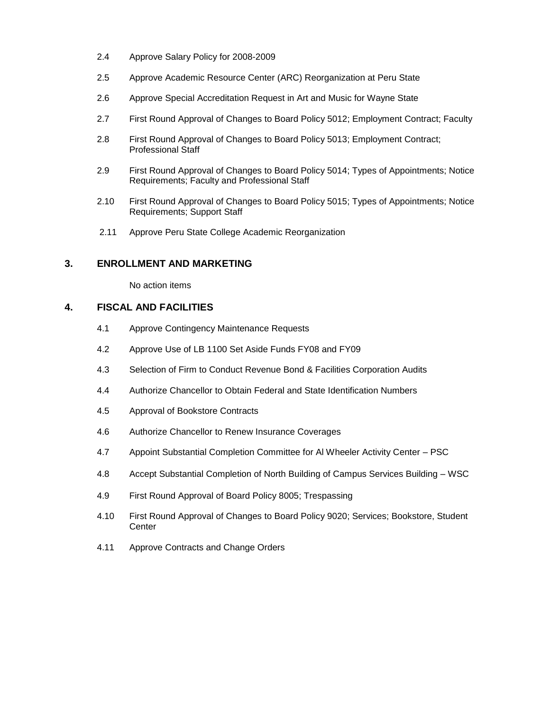- 2.4 Approve Salary Policy for 2008-2009
- 2.5 Approve Academic Resource Center (ARC) Reorganization at Peru State
- 2.6 Approve Special Accreditation Request in Art and Music for Wayne State
- 2.7 First Round Approval of Changes to Board Policy 5012; Employment Contract; Faculty
- 2.8 First Round Approval of Changes to Board Policy 5013; Employment Contract; Professional Staff
- 2.9 First Round Approval of Changes to Board Policy 5014; Types of Appointments; Notice Requirements; Faculty and Professional Staff
- 2.10 First Round Approval of Changes to Board Policy 5015; Types of Appointments; Notice Requirements; Support Staff
- 2.11 Approve Peru State College Academic Reorganization

#### **3. ENROLLMENT AND MARKETING**

No action items

#### **4. FISCAL AND FACILITIES**

- 4.1 Approve Contingency Maintenance Requests
- 4.2 Approve Use of LB 1100 Set Aside Funds FY08 and FY09
- 4.3 Selection of Firm to Conduct Revenue Bond & Facilities Corporation Audits
- 4.4 Authorize Chancellor to Obtain Federal and State Identification Numbers
- 4.5 Approval of Bookstore Contracts
- 4.6 Authorize Chancellor to Renew Insurance Coverages
- 4.7 Appoint Substantial Completion Committee for Al Wheeler Activity Center PSC
- 4.8 Accept Substantial Completion of North Building of Campus Services Building WSC
- 4.9 First Round Approval of Board Policy 8005; Trespassing
- 4.10 First Round Approval of Changes to Board Policy 9020; Services; Bookstore, Student **Center**
- 4.11 Approve Contracts and Change Orders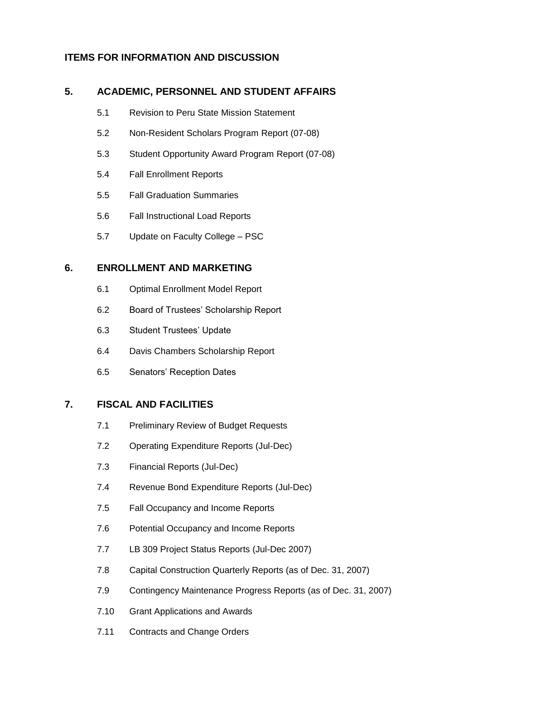#### **ITEMS FOR INFORMATION AND DISCUSSION**

#### **5. ACADEMIC, PERSONNEL AND STUDENT AFFAIRS**

- 5.1 Revision to Peru State Mission Statement
- 5.2 Non-Resident Scholars Program Report (07-08)
- 5.3 Student Opportunity Award Program Report (07-08)
- 5.4 Fall Enrollment Reports
- 5.5 Fall Graduation Summaries
- 5.6 Fall Instructional Load Reports
- 5.7 Update on Faculty College PSC

#### **6. ENROLLMENT AND MARKETING**

- 6.1 Optimal Enrollment Model Report
- 6.2 Board of Trustees' Scholarship Report
- 6.3 Student Trustees' Update
- 6.4 Davis Chambers Scholarship Report
- 6.5 Senators' Reception Dates

#### **7. FISCAL AND FACILITIES**

- 7.1 Preliminary Review of Budget Requests
- 7.2 Operating Expenditure Reports (Jul-Dec)
- 7.3 Financial Reports (Jul-Dec)
- 7.4 Revenue Bond Expenditure Reports (Jul-Dec)
- 7.5 Fall Occupancy and Income Reports
- 7.6 Potential Occupancy and Income Reports
- 7.7 LB 309 Project Status Reports (Jul-Dec 2007)
- 7.8 Capital Construction Quarterly Reports (as of Dec. 31, 2007)
- 7.9 Contingency Maintenance Progress Reports (as of Dec. 31, 2007)
- 7.10 Grant Applications and Awards
- 7.11 Contracts and Change Orders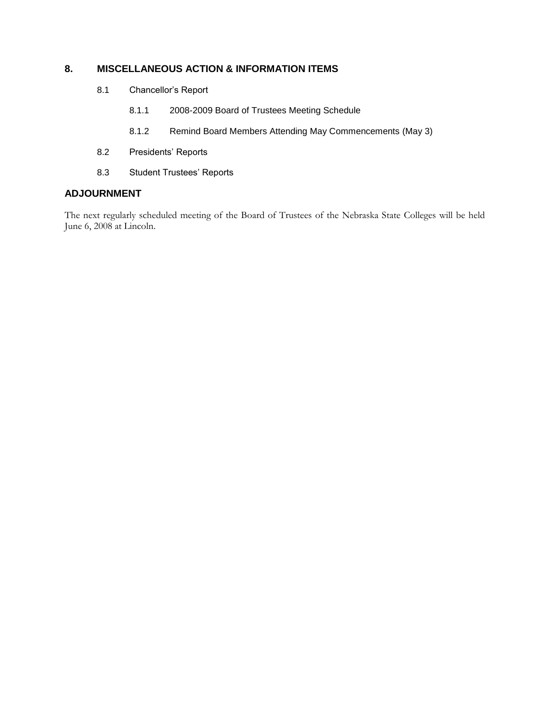#### **8. MISCELLANEOUS ACTION & INFORMATION ITEMS**

- 8.1 Chancellor's Report
	- 8.1.1 2008-2009 Board of Trustees Meeting Schedule
	- 8.1.2 Remind Board Members Attending May Commencements (May 3)
- 8.2 Presidents' Reports
- 8.3 Student Trustees' Reports

#### **ADJOURNMENT**

The next regularly scheduled meeting of the Board of Trustees of the Nebraska State Colleges will be held June 6, 2008 at Lincoln.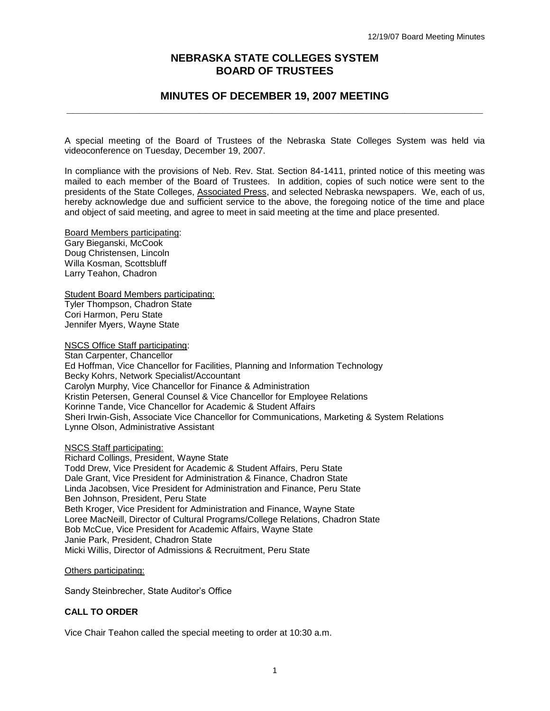#### **NEBRASKA STATE COLLEGES SYSTEM BOARD OF TRUSTEES**

#### **MINUTES OF DECEMBER 19, 2007 MEETING \_\_\_\_\_\_\_\_\_\_\_\_\_\_\_\_\_\_\_\_\_\_\_\_\_\_\_\_\_\_\_\_\_\_\_\_\_\_\_\_\_\_\_\_\_\_\_\_\_\_\_\_\_\_\_\_\_\_\_\_\_\_\_\_\_\_\_\_\_**

A special meeting of the Board of Trustees of the Nebraska State Colleges System was held via videoconference on Tuesday, December 19, 2007.

In compliance with the provisions of Neb. Rev. Stat. Section 84-1411, printed notice of this meeting was mailed to each member of the Board of Trustees. In addition, copies of such notice were sent to the presidents of the State Colleges, Associated Press, and selected Nebraska newspapers. We, each of us, hereby acknowledge due and sufficient service to the above, the foregoing notice of the time and place and object of said meeting, and agree to meet in said meeting at the time and place presented.

Board Members participating: Gary Bieganski, McCook Doug Christensen, Lincoln Willa Kosman, Scottsbluff Larry Teahon, Chadron

**Student Board Members participating:** Tyler Thompson, Chadron State Cori Harmon, Peru State Jennifer Myers, Wayne State

NSCS Office Staff participating:

Stan Carpenter, Chancellor Ed Hoffman, Vice Chancellor for Facilities, Planning and Information Technology Becky Kohrs, Network Specialist/Accountant Carolyn Murphy, Vice Chancellor for Finance & Administration Kristin Petersen, General Counsel & Vice Chancellor for Employee Relations Korinne Tande, Vice Chancellor for Academic & Student Affairs Sheri Irwin-Gish, Associate Vice Chancellor for Communications, Marketing & System Relations Lynne Olson, Administrative Assistant

#### NSCS Staff participating:

Richard Collings, President, Wayne State Todd Drew, Vice President for Academic & Student Affairs, Peru State Dale Grant, Vice President for Administration & Finance, Chadron State Linda Jacobsen, Vice President for Administration and Finance, Peru State Ben Johnson, President, Peru State Beth Kroger, Vice President for Administration and Finance, Wayne State Loree MacNeill, Director of Cultural Programs/College Relations, Chadron State Bob McCue, Vice President for Academic Affairs, Wayne State Janie Park, President, Chadron State Micki Willis, Director of Admissions & Recruitment, Peru State

Others participating:

Sandy Steinbrecher, State Auditor's Office

#### **CALL TO ORDER**

Vice Chair Teahon called the special meeting to order at 10:30 a.m.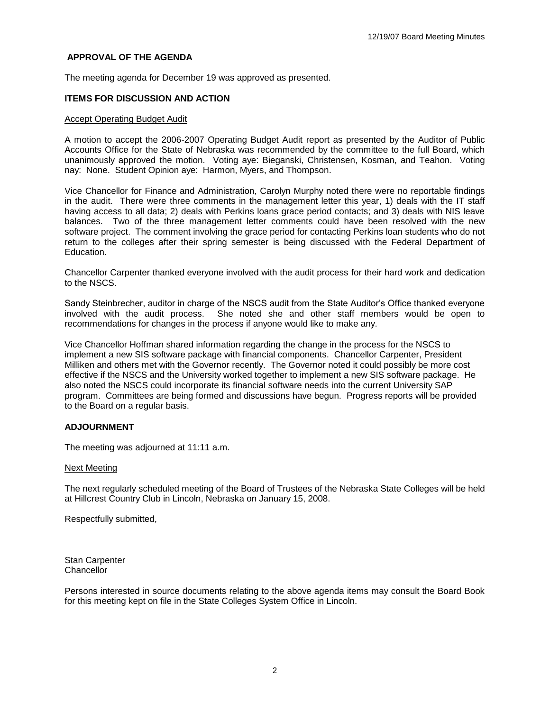#### **APPROVAL OF THE AGENDA**

The meeting agenda for December 19 was approved as presented.

#### **ITEMS FOR DISCUSSION AND ACTION**

#### Accept Operating Budget Audit

A motion to accept the 2006-2007 Operating Budget Audit report as presented by the Auditor of Public Accounts Office for the State of Nebraska was recommended by the committee to the full Board, which unanimously approved the motion. Voting aye: Bieganski, Christensen, Kosman, and Teahon. Voting nay: None. Student Opinion aye: Harmon, Myers, and Thompson.

Vice Chancellor for Finance and Administration, Carolyn Murphy noted there were no reportable findings in the audit. There were three comments in the management letter this year, 1) deals with the IT staff having access to all data; 2) deals with Perkins loans grace period contacts; and 3) deals with NIS leave balances. Two of the three management letter comments could have been resolved with the new software project. The comment involving the grace period for contacting Perkins loan students who do not return to the colleges after their spring semester is being discussed with the Federal Department of Education.

Chancellor Carpenter thanked everyone involved with the audit process for their hard work and dedication to the NSCS.

Sandy Steinbrecher, auditor in charge of the NSCS audit from the State Auditor's Office thanked everyone involved with the audit process. She noted she and other staff members would be open to recommendations for changes in the process if anyone would like to make any.

Vice Chancellor Hoffman shared information regarding the change in the process for the NSCS to implement a new SIS software package with financial components. Chancellor Carpenter, President Milliken and others met with the Governor recently. The Governor noted it could possibly be more cost effective if the NSCS and the University worked together to implement a new SIS software package. He also noted the NSCS could incorporate its financial software needs into the current University SAP program. Committees are being formed and discussions have begun. Progress reports will be provided to the Board on a regular basis.

#### **ADJOURNMENT**

The meeting was adjourned at 11:11 a.m.

#### Next Meeting

The next regularly scheduled meeting of the Board of Trustees of the Nebraska State Colleges will be held at Hillcrest Country Club in Lincoln, Nebraska on January 15, 2008.

Respectfully submitted,

Stan Carpenter **Chancellor** 

Persons interested in source documents relating to the above agenda items may consult the Board Book for this meeting kept on file in the State Colleges System Office in Lincoln.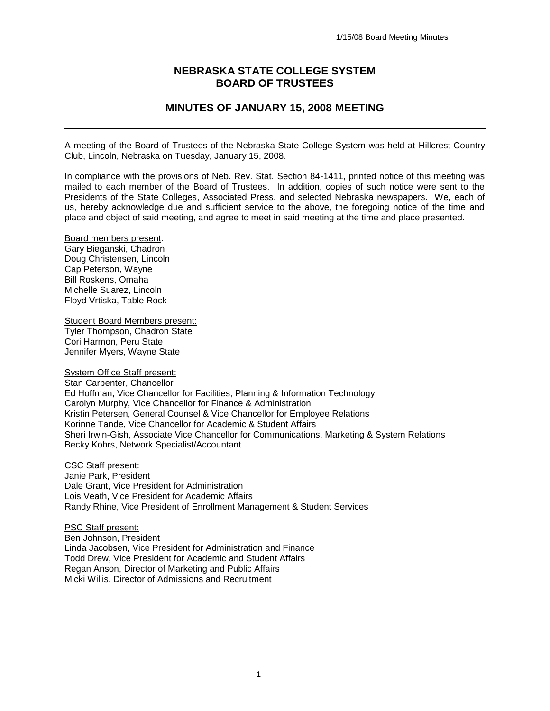#### **NEBRASKA STATE COLLEGE SYSTEM BOARD OF TRUSTEES**

#### **MINUTES OF JANUARY 15, 2008 MEETING**

A meeting of the Board of Trustees of the Nebraska State College System was held at Hillcrest Country Club, Lincoln, Nebraska on Tuesday, January 15, 2008.

In compliance with the provisions of Neb. Rev. Stat. Section 84-1411, printed notice of this meeting was mailed to each member of the Board of Trustees. In addition, copies of such notice were sent to the Presidents of the State Colleges, Associated Press, and selected Nebraska newspapers. We, each of us, hereby acknowledge due and sufficient service to the above, the foregoing notice of the time and place and object of said meeting, and agree to meet in said meeting at the time and place presented.

Board members present: Gary Bieganski, Chadron Doug Christensen, Lincoln Cap Peterson, Wayne Bill Roskens, Omaha Michelle Suarez, Lincoln Floyd Vrtiska, Table Rock

Student Board Members present: Tyler Thompson, Chadron State Cori Harmon, Peru State Jennifer Myers, Wayne State

System Office Staff present:

Stan Carpenter, Chancellor Ed Hoffman, Vice Chancellor for Facilities, Planning & Information Technology Carolyn Murphy, Vice Chancellor for Finance & Administration Kristin Petersen, General Counsel & Vice Chancellor for Employee Relations Korinne Tande, Vice Chancellor for Academic & Student Affairs Sheri Irwin-Gish, Associate Vice Chancellor for Communications, Marketing & System Relations Becky Kohrs, Network Specialist/Accountant

CSC Staff present: Janie Park, President Dale Grant, Vice President for Administration Lois Veath, Vice President for Academic Affairs Randy Rhine, Vice President of Enrollment Management & Student Services

PSC Staff present: Ben Johnson, President Linda Jacobsen, Vice President for Administration and Finance Todd Drew, Vice President for Academic and Student Affairs Regan Anson, Director of Marketing and Public Affairs Micki Willis, Director of Admissions and Recruitment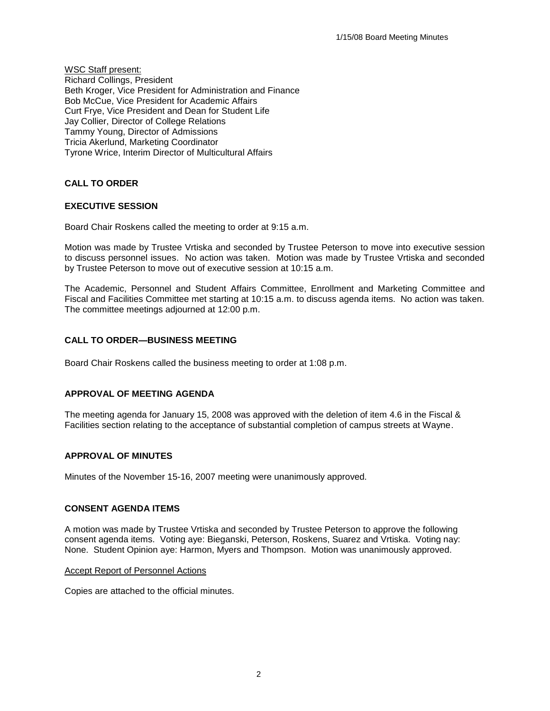WSC Staff present: Richard Collings, President Beth Kroger, Vice President for Administration and Finance Bob McCue, Vice President for Academic Affairs Curt Frye, Vice President and Dean for Student Life Jay Collier, Director of College Relations Tammy Young, Director of Admissions Tricia Akerlund, Marketing Coordinator Tyrone Wrice, Interim Director of Multicultural Affairs

**CALL TO ORDER**

#### **EXECUTIVE SESSION**

Board Chair Roskens called the meeting to order at 9:15 a.m.

Motion was made by Trustee Vrtiska and seconded by Trustee Peterson to move into executive session to discuss personnel issues. No action was taken. Motion was made by Trustee Vrtiska and seconded by Trustee Peterson to move out of executive session at 10:15 a.m.

The Academic, Personnel and Student Affairs Committee, Enrollment and Marketing Committee and Fiscal and Facilities Committee met starting at 10:15 a.m. to discuss agenda items. No action was taken. The committee meetings adjourned at 12:00 p.m.

#### **CALL TO ORDER—BUSINESS MEETING**

Board Chair Roskens called the business meeting to order at 1:08 p.m.

#### **APPROVAL OF MEETING AGENDA**

The meeting agenda for January 15, 2008 was approved with the deletion of item 4.6 in the Fiscal & Facilities section relating to the acceptance of substantial completion of campus streets at Wayne.

#### **APPROVAL OF MINUTES**

Minutes of the November 15-16, 2007 meeting were unanimously approved.

#### **CONSENT AGENDA ITEMS**

A motion was made by Trustee Vrtiska and seconded by Trustee Peterson to approve the following consent agenda items. Voting aye: Bieganski, Peterson, Roskens, Suarez and Vrtiska. Voting nay: None. Student Opinion aye: Harmon, Myers and Thompson. Motion was unanimously approved.

#### Accept Report of Personnel Actions

Copies are attached to the official minutes.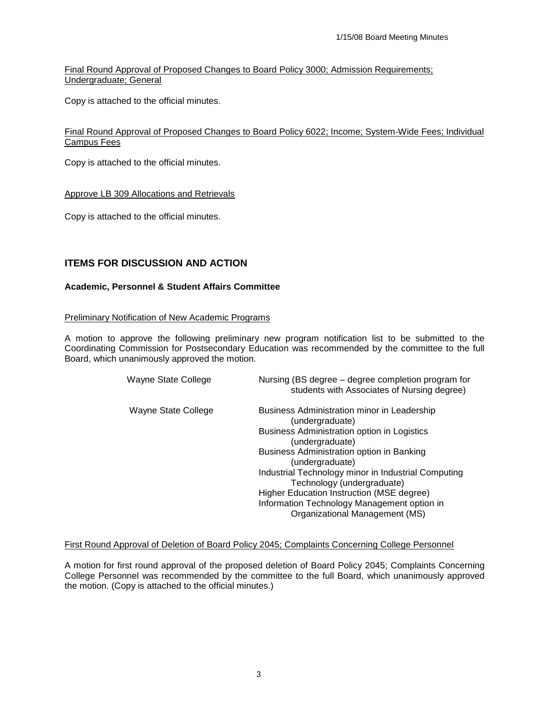Final Round Approval of Proposed Changes to Board Policy 3000; Admission Requirements; Undergraduate; General

Copy is attached to the official minutes.

#### Final Round Approval of Proposed Changes to Board Policy 6022; Income; System-Wide Fees; Individual Campus Fees

Copy is attached to the official minutes.

#### Approve LB 309 Allocations and Retrievals

Copy is attached to the official minutes.

#### **ITEMS FOR DISCUSSION AND ACTION**

#### **Academic, Personnel & Student Affairs Committee**

#### Preliminary Notification of New Academic Programs

A motion to approve the following preliminary new program notification list to be submitted to the Coordinating Commission for Postsecondary Education was recommended by the committee to the full Board, which unanimously approved the motion.

| Wayne State College | Nursing (BS degree – degree completion program for<br>students with Associates of Nursing degree)                                                                                                                                                                                                                                                                                                                   |
|---------------------|---------------------------------------------------------------------------------------------------------------------------------------------------------------------------------------------------------------------------------------------------------------------------------------------------------------------------------------------------------------------------------------------------------------------|
| Wayne State College | Business Administration minor in Leadership<br>(undergraduate)<br>Business Administration option in Logistics<br>(undergraduate)<br>Business Administration option in Banking<br>(undergraduate)<br>Industrial Technology minor in Industrial Computing<br>Technology (undergraduate)<br>Higher Education Instruction (MSE degree)<br>Information Technology Management option in<br>Organizational Management (MS) |

#### First Round Approval of Deletion of Board Policy 2045; Complaints Concerning College Personnel

A motion for first round approval of the proposed deletion of Board Policy 2045; Complaints Concerning College Personnel was recommended by the committee to the full Board, which unanimously approved the motion. (Copy is attached to the official minutes.)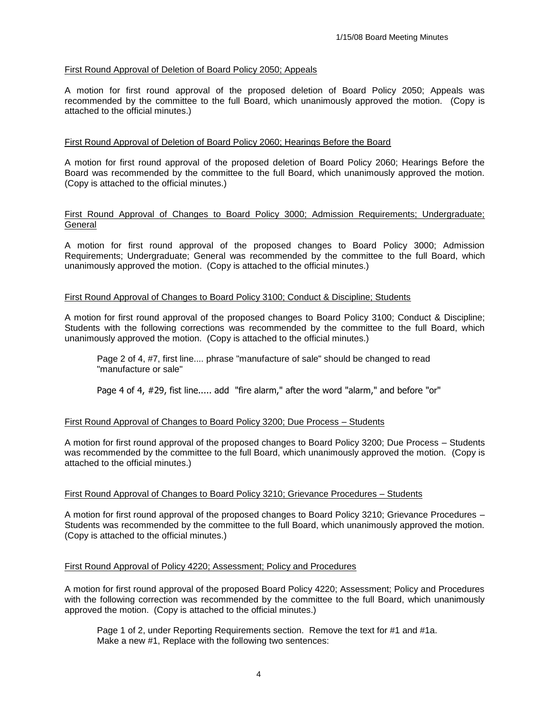#### First Round Approval of Deletion of Board Policy 2050; Appeals

A motion for first round approval of the proposed deletion of Board Policy 2050; Appeals was recommended by the committee to the full Board, which unanimously approved the motion.(Copy is attached to the official minutes.)

#### First Round Approval of Deletion of Board Policy 2060; Hearings Before the Board

A motion for first round approval of the proposed deletion of Board Policy 2060; Hearings Before the Board was recommended by the committee to the full Board, which unanimously approved the motion. (Copy is attached to the official minutes.)

#### First Round Approval of Changes to Board Policy 3000; Admission Requirements; Undergraduate; General

A motion for first round approval of the proposed changes to Board Policy 3000; Admission Requirements; Undergraduate; General was recommended by the committee to the full Board, which unanimously approved the motion. (Copy is attached to the official minutes.)

#### First Round Approval of Changes to Board Policy 3100; Conduct & Discipline; Students

A motion for first round approval of the proposed changes to Board Policy 3100; Conduct & Discipline; Students with the following corrections was recommended by the committee to the full Board, which unanimously approved the motion. (Copy is attached to the official minutes.)

Page 2 of 4, #7, first line.... phrase "manufacture of sale" should be changed to read "manufacture or sale"

Page 4 of 4, #29, fist line..... add "fire alarm," after the word "alarm," and before "or"

#### First Round Approval of Changes to Board Policy 3200; Due Process – Students

A motion for first round approval of the proposed changes to Board Policy 3200; Due Process – Students was recommended by the committee to the full Board, which unanimously approved the motion. (Copy is attached to the official minutes.)

#### First Round Approval of Changes to Board Policy 3210; Grievance Procedures – Students

A motion for first round approval of the proposed changes to Board Policy 3210; Grievance Procedures – Students was recommended by the committee to the full Board, which unanimously approved the motion. (Copy is attached to the official minutes.)

#### First Round Approval of Policy 4220; Assessment; Policy and Procedures

A motion for first round approval of the proposed Board Policy 4220; Assessment; Policy and Procedures with the following correction was recommended by the committee to the full Board, which unanimously approved the motion. (Copy is attached to the official minutes.)

Page 1 of 2, under Reporting Requirements section. Remove the text for #1 and #1a. Make a new #1, Replace with the following two sentences: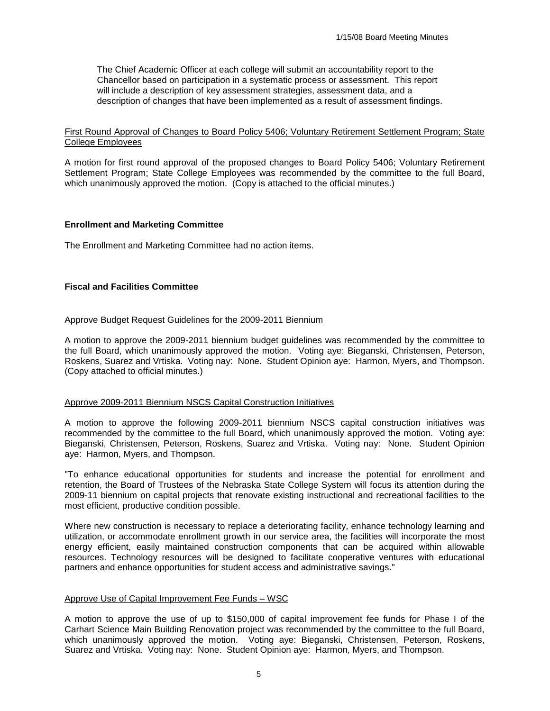The Chief Academic Officer at each college will submit an accountability report to the Chancellor based on participation in a systematic process or assessment. This report will include a description of key assessment strategies, assessment data, and a description of changes that have been implemented as a result of assessment findings.

#### First Round Approval of Changes to Board Policy 5406; Voluntary Retirement Settlement Program; State College Employees

A motion for first round approval of the proposed changes to Board Policy 5406; Voluntary Retirement Settlement Program; State College Employees was recommended by the committee to the full Board, which unanimously approved the motion. (Copy is attached to the official minutes.)

#### **Enrollment and Marketing Committee**

The Enrollment and Marketing Committee had no action items.

#### **Fiscal and Facilities Committee**

#### Approve Budget Request Guidelines for the 2009-2011 Biennium

A motion to approve the 2009-2011 biennium budget guidelines was recommended by the committee to the full Board, which unanimously approved the motion. Voting aye: Bieganski, Christensen, Peterson, Roskens, Suarez and Vrtiska. Voting nay: None. Student Opinion aye: Harmon, Myers, and Thompson. (Copy attached to official minutes.)

#### Approve 2009-2011 Biennium NSCS Capital Construction Initiatives

A motion to approve the following 2009-2011 biennium NSCS capital construction initiatives was recommended by the committee to the full Board, which unanimously approved the motion. Voting aye: Bieganski, Christensen, Peterson, Roskens, Suarez and Vrtiska. Voting nay: None. Student Opinion aye: Harmon, Myers, and Thompson.

"To enhance educational opportunities for students and increase the potential for enrollment and retention, the Board of Trustees of the Nebraska State College System will focus its attention during the 2009-11 biennium on capital projects that renovate existing instructional and recreational facilities to the most efficient, productive condition possible.

Where new construction is necessary to replace a deteriorating facility, enhance technology learning and utilization, or accommodate enrollment growth in our service area, the facilities will incorporate the most energy efficient, easily maintained construction components that can be acquired within allowable resources. Technology resources will be designed to facilitate cooperative ventures with educational partners and enhance opportunities for student access and administrative savings."

#### Approve Use of Capital Improvement Fee Funds – WSC

A motion to approve the use of up to \$150,000 of capital improvement fee funds for Phase I of the Carhart Science Main Building Renovation project was recommended by the committee to the full Board, which unanimously approved the motion. Voting aye: Bieganski, Christensen, Peterson, Roskens, Suarez and Vrtiska. Voting nay: None. Student Opinion aye: Harmon, Myers, and Thompson.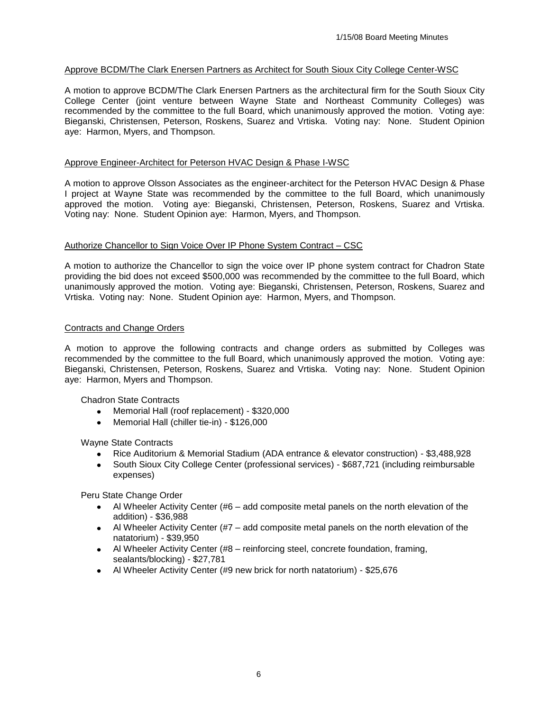#### Approve BCDM/The Clark Enersen Partners as Architect for South Sioux City College Center-WSC

A motion to approve BCDM/The Clark Enersen Partners as the architectural firm for the South Sioux City College Center (joint venture between Wayne State and Northeast Community Colleges) was recommended by the committee to the full Board, which unanimously approved the motion. Voting aye: Bieganski, Christensen, Peterson, Roskens, Suarez and Vrtiska. Voting nay: None. Student Opinion aye: Harmon, Myers, and Thompson.

#### Approve Engineer-Architect for Peterson HVAC Design & Phase I-WSC

A motion to approve Olsson Associates as the engineer-architect for the Peterson HVAC Design & Phase I project at Wayne State was recommended by the committee to the full Board, which unanimously approved the motion. Voting aye: Bieganski, Christensen, Peterson, Roskens, Suarez and Vrtiska. Voting nay: None. Student Opinion aye: Harmon, Myers, and Thompson.

#### Authorize Chancellor to Sign Voice Over IP Phone System Contract – CSC

A motion to authorize the Chancellor to sign the voice over IP phone system contract for Chadron State providing the bid does not exceed \$500,000 was recommended by the committee to the full Board, which unanimously approved the motion. Voting aye: Bieganski, Christensen, Peterson, Roskens, Suarez and Vrtiska. Voting nay: None. Student Opinion aye: Harmon, Myers, and Thompson.

#### Contracts and Change Orders

A motion to approve the following contracts and change orders as submitted by Colleges was recommended by the committee to the full Board, which unanimously approved the motion. Voting aye: Bieganski, Christensen, Peterson, Roskens, Suarez and Vrtiska. Voting nay: None. Student Opinion aye: Harmon, Myers and Thompson.

Chadron State Contracts

- Memorial Hall (roof replacement) \$320,000
- Memorial Hall (chiller tie-in) \$126,000  $\bullet$

Wayne State Contracts

- Rice Auditorium & Memorial Stadium (ADA entrance & elevator construction) \$3,488,928
- $\bullet$ South Sioux City College Center (professional services) - \$687,721 (including reimbursable expenses)

Peru State Change Order

- Al Wheeler Activity Center (#6 add composite metal panels on the north elevation of the addition) - \$36,988
- Al Wheeler Activity Center (#7 add composite metal panels on the north elevation of the natatorium) - \$39,950
- Al Wheeler Activity Center (#8 reinforcing steel, concrete foundation, framing, sealants/blocking) - \$27,781
- Al Wheeler Activity Center (#9 new brick for north natatorium) \$25,676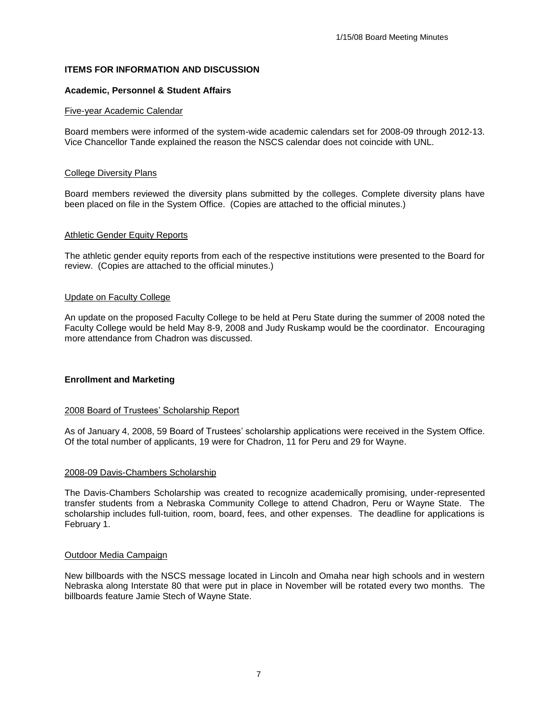#### **ITEMS FOR INFORMATION AND DISCUSSION**

#### **Academic, Personnel & Student Affairs**

#### Five-year Academic Calendar

Board members were informed of the system-wide academic calendars set for 2008-09 through 2012-13. Vice Chancellor Tande explained the reason the NSCS calendar does not coincide with UNL.

#### College Diversity Plans

Board members reviewed the diversity plans submitted by the colleges. Complete diversity plans have been placed on file in the System Office. (Copies are attached to the official minutes.)

#### Athletic Gender Equity Reports

The athletic gender equity reports from each of the respective institutions were presented to the Board for review. (Copies are attached to the official minutes.)

#### Update on Faculty College

An update on the proposed Faculty College to be held at Peru State during the summer of 2008 noted the Faculty College would be held May 8-9, 2008 and Judy Ruskamp would be the coordinator. Encouraging more attendance from Chadron was discussed.

#### **Enrollment and Marketing**

#### 2008 Board of Trustees' Scholarship Report

As of January 4, 2008, 59 Board of Trustees' scholarship applications were received in the System Office. Of the total number of applicants, 19 were for Chadron, 11 for Peru and 29 for Wayne.

#### 2008-09 Davis-Chambers Scholarship

The Davis-Chambers Scholarship was created to recognize academically promising, under-represented transfer students from a Nebraska Community College to attend Chadron, Peru or Wayne State. The scholarship includes full-tuition, room, board, fees, and other expenses. The deadline for applications is February 1.

#### Outdoor Media Campaign

New billboards with the NSCS message located in Lincoln and Omaha near high schools and in western Nebraska along Interstate 80 that were put in place in November will be rotated every two months. The billboards feature Jamie Stech of Wayne State.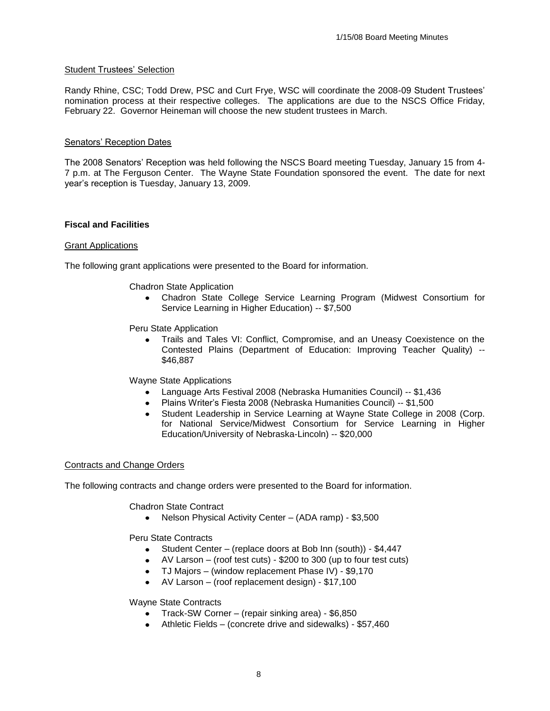#### Student Trustees' Selection

Randy Rhine, CSC; Todd Drew, PSC and Curt Frye, WSC will coordinate the 2008-09 Student Trustees' nomination process at their respective colleges. The applications are due to the NSCS Office Friday, February 22. Governor Heineman will choose the new student trustees in March.

#### Senators' Reception Dates

The 2008 Senators' Reception was held following the NSCS Board meeting Tuesday, January 15 from 4- 7 p.m. at The Ferguson Center. The Wayne State Foundation sponsored the event. The date for next year's reception is Tuesday, January 13, 2009.

#### **Fiscal and Facilities**

#### Grant Applications

The following grant applications were presented to the Board for information.

#### Chadron State Application

Chadron State College Service Learning Program (Midwest Consortium for Service Learning in Higher Education) -- \$7,500

Peru State Application

Trails and Tales VI: Conflict, Compromise, and an Uneasy Coexistence on the Contested Plains (Department of Education: Improving Teacher Quality) -- \$46,887

Wayne State Applications

- Language Arts Festival 2008 (Nebraska Humanities Council) -- \$1,436
- Plains Writer's Fiesta 2008 (Nebraska Humanities Council) -- \$1,500
- Student Leadership in Service Learning at Wayne State College in 2008 (Corp. for National Service/Midwest Consortium for Service Learning in Higher Education/University of Nebraska-Lincoln) -- \$20,000

#### Contracts and Change Orders

The following contracts and change orders were presented to the Board for information.

Chadron State Contract

• Nelson Physical Activity Center – (ADA ramp) - \$3,500

Peru State Contracts

- Student Center (replace doors at Bob Inn (south)) \$4,447
- AV Larson (roof test cuts) \$200 to 300 (up to four test cuts)
- TJ Majors (window replacement Phase IV) \$9,170
- AV Larson (roof replacement design) \$17,100

Wayne State Contracts

- Track-SW Corner (repair sinking area) \$6,850
- Athletic Fields (concrete drive and sidewalks) \$57,460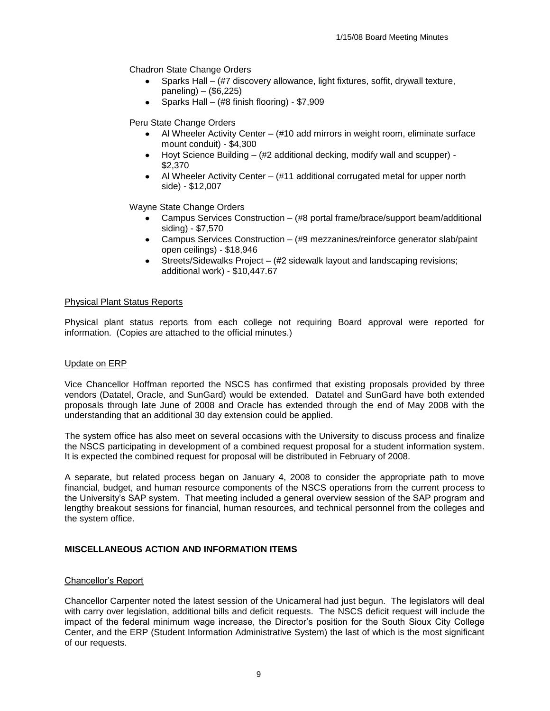Chadron State Change Orders

- Sparks Hall (#7 discovery allowance, light fixtures, soffit, drywall texture, paneling) – (\$6,225)
- Sparks Hall (#8 finish flooring) \$7,909

Peru State Change Orders

- Al Wheeler Activity Center (#10 add mirrors in weight room, eliminate surface mount conduit) - \$4,300
- Hoyt Science Building (#2 additional decking, modify wall and scupper) \$2,370
- Al Wheeler Activity Center (#11 additional corrugated metal for upper north side) - \$12,007

Wayne State Change Orders

- Campus Services Construction (#8 portal frame/brace/support beam/additional siding) - \$7,570
- Campus Services Construction (#9 mezzanines/reinforce generator slab/paint open ceilings) - \$18,946
- Streets/Sidewalks Project (#2 sidewalk layout and landscaping revisions; additional work) - \$10,447.67

#### Physical Plant Status Reports

Physical plant status reports from each college not requiring Board approval were reported for information. (Copies are attached to the official minutes.)

#### Update on ERP

Vice Chancellor Hoffman reported the NSCS has confirmed that existing proposals provided by three vendors (Datatel, Oracle, and SunGard) would be extended. Datatel and SunGard have both extended proposals through late June of 2008 and Oracle has extended through the end of May 2008 with the understanding that an additional 30 day extension could be applied.

The system office has also meet on several occasions with the University to discuss process and finalize the NSCS participating in development of a combined request proposal for a student information system. It is expected the combined request for proposal will be distributed in February of 2008.

A separate, but related process began on January 4, 2008 to consider the appropriate path to move financial, budget, and human resource components of the NSCS operations from the current process to the University's SAP system. That meeting included a general overview session of the SAP program and lengthy breakout sessions for financial, human resources, and technical personnel from the colleges and the system office.

#### **MISCELLANEOUS ACTION AND INFORMATION ITEMS**

#### Chancellor's Report

Chancellor Carpenter noted the latest session of the Unicameral had just begun. The legislators will deal with carry over legislation, additional bills and deficit requests. The NSCS deficit request will include the impact of the federal minimum wage increase, the Director's position for the South Sioux City College Center, and the ERP (Student Information Administrative System) the last of which is the most significant of our requests.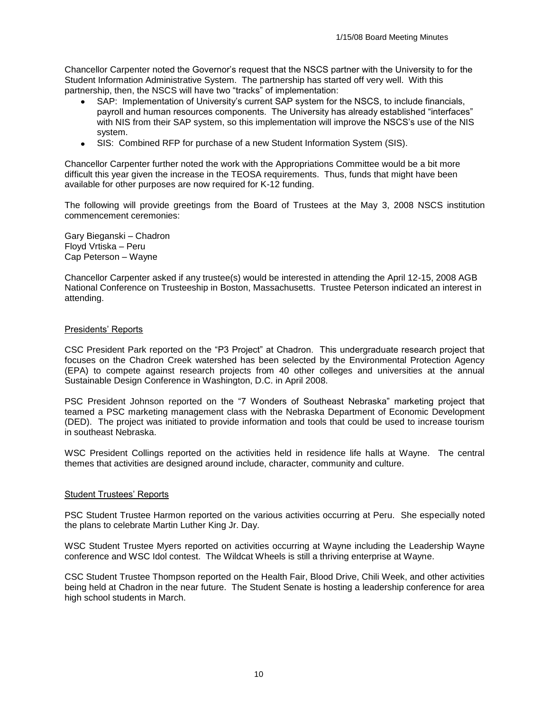Chancellor Carpenter noted the Governor's request that the NSCS partner with the University to for the Student Information Administrative System. The partnership has started off very well. With this partnership, then, the NSCS will have two "tracks" of implementation:

- SAP: Implementation of University's current SAP system for the NSCS, to include financials, payroll and human resources components. The University has already established "interfaces" with NIS from their SAP system, so this implementation will improve the NSCS's use of the NIS system.
- SIS: Combined RFP for purchase of a new Student Information System (SIS).  $\bullet$

Chancellor Carpenter further noted the work with the Appropriations Committee would be a bit more difficult this year given the increase in the TEOSA requirements. Thus, funds that might have been available for other purposes are now required for K-12 funding.

The following will provide greetings from the Board of Trustees at the May 3, 2008 NSCS institution commencement ceremonies:

Gary Bieganski – Chadron Floyd Vrtiska – Peru Cap Peterson – Wayne

Chancellor Carpenter asked if any trustee(s) would be interested in attending the April 12-15, 2008 AGB National Conference on Trusteeship in Boston, Massachusetts. Trustee Peterson indicated an interest in attending.

#### Presidents' Reports

CSC President Park reported on the "P3 Project" at Chadron. This undergraduate research project that focuses on the Chadron Creek watershed has been selected by the Environmental Protection Agency (EPA) to compete against research projects from 40 other colleges and universities at the annual Sustainable Design Conference in Washington, D.C. in April 2008.

PSC President Johnson reported on the "7 Wonders of Southeast Nebraska" marketing project that teamed a PSC marketing management class with the Nebraska Department of Economic Development (DED). The project was initiated to provide information and tools that could be used to increase tourism in southeast Nebraska.

WSC President Collings reported on the activities held in residence life halls at Wayne. The central themes that activities are designed around include, character, community and culture.

#### Student Trustees' Reports

PSC Student Trustee Harmon reported on the various activities occurring at Peru. She especially noted the plans to celebrate Martin Luther King Jr. Day.

WSC Student Trustee Myers reported on activities occurring at Wayne including the Leadership Wayne conference and WSC Idol contest. The Wildcat Wheels is still a thriving enterprise at Wayne.

CSC Student Trustee Thompson reported on the Health Fair, Blood Drive, Chili Week, and other activities being held at Chadron in the near future. The Student Senate is hosting a leadership conference for area high school students in March.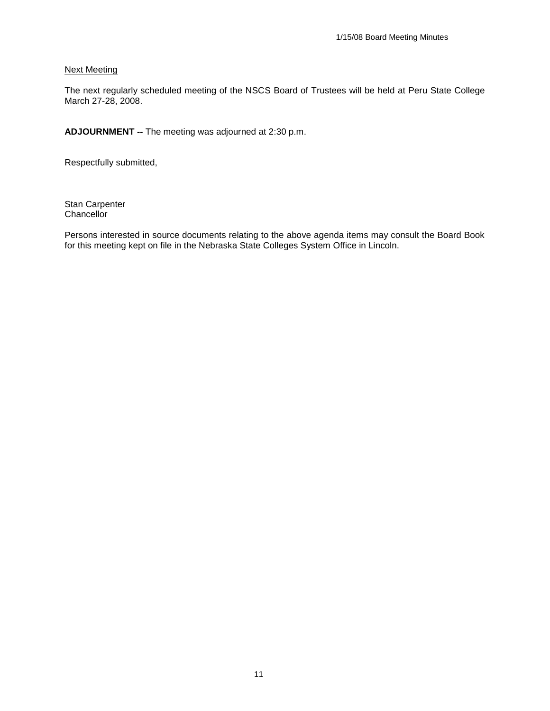#### Next Meeting

The next regularly scheduled meeting of the NSCS Board of Trustees will be held at Peru State College March 27-28, 2008.

**ADJOURNMENT --** The meeting was adjourned at 2:30 p.m.

Respectfully submitted,

Stan Carpenter **Chancellor** 

Persons interested in source documents relating to the above agenda items may consult the Board Book for this meeting kept on file in the Nebraska State Colleges System Office in Lincoln.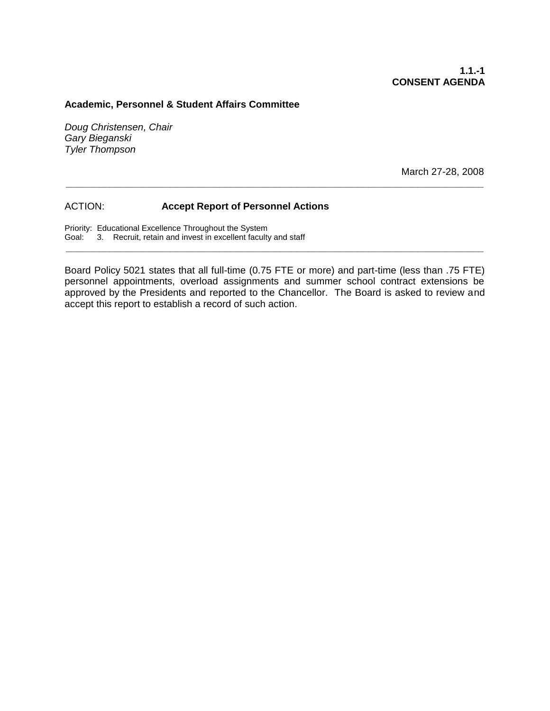#### **Academic, Personnel & Student Affairs Committee**

*Doug Christensen, Chair Gary Bieganski Tyler Thompson*

March 27-28, 2008

#### ACTION: **Accept Report of Personnel Actions**

Priority: Educational Excellence Throughout the System Goal: 3. Recruit, retain and invest in excellent faculty and staff

Board Policy 5021 states that all full-time (0.75 FTE or more) and part-time (less than .75 FTE) personnel appointments, overload assignments and summer school contract extensions be approved by the Presidents and reported to the Chancellor. The Board is asked to review and accept this report to establish a record of such action.

**\_\_\_\_\_\_\_\_\_\_\_\_\_\_\_\_\_\_\_\_\_\_\_\_\_\_\_\_\_\_\_\_\_\_\_\_\_\_\_\_\_\_\_\_\_\_\_\_\_\_\_\_\_\_\_\_\_\_\_\_\_\_\_\_\_\_\_\_\_\_\_\_\_\_\_\_**

**\_\_\_\_\_\_\_\_\_\_\_\_\_\_\_\_\_\_\_\_\_\_\_\_\_\_\_\_\_\_\_\_\_\_\_\_\_\_\_\_\_\_\_\_\_\_\_\_\_\_\_\_\_\_\_\_\_\_\_\_\_\_\_\_\_\_\_\_\_\_\_\_\_\_\_\_**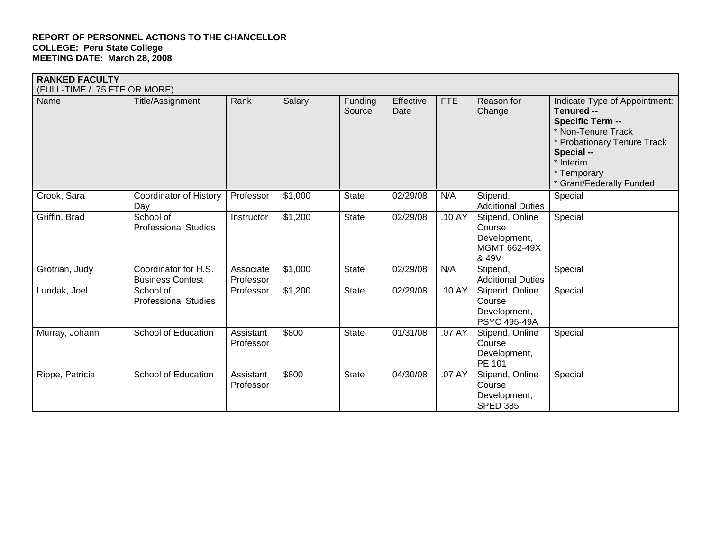| <b>RANKED FACULTY</b><br>(FULL-TIME / .75 FTE OR MORE) |                                                 |                        |         |                   |                   |            |                                                                    |                                                                                                                                                                                                   |
|--------------------------------------------------------|-------------------------------------------------|------------------------|---------|-------------------|-------------------|------------|--------------------------------------------------------------------|---------------------------------------------------------------------------------------------------------------------------------------------------------------------------------------------------|
| Name                                                   | Title/Assignment                                | Rank                   | Salary  | Funding<br>Source | Effective<br>Date | <b>FTE</b> | Reason for<br>Change                                               | Indicate Type of Appointment:<br>Tenured --<br><b>Specific Term --</b><br>* Non-Tenure Track<br>* Probationary Tenure Track<br>Special --<br>* Interim<br>* Temporary<br>* Grant/Federally Funded |
| Crook, Sara                                            | <b>Coordinator of History</b><br>Day            | Professor              | \$1,000 | <b>State</b>      | 02/29/08          | N/A        | Stipend,<br><b>Additional Duties</b>                               | Special                                                                                                                                                                                           |
| Griffin, Brad                                          | School of<br><b>Professional Studies</b>        | Instructor             | \$1,200 | <b>State</b>      | 02/29/08          | .10 AY     | Stipend, Online<br>Course<br>Development,<br>MGMT 662-49X<br>& 49V | Special                                                                                                                                                                                           |
| Grotrian, Judy                                         | Coordinator for H.S.<br><b>Business Contest</b> | Associate<br>Professor | \$1,000 | <b>State</b>      | 02/29/08          | N/A        | Stipend,<br><b>Additional Duties</b>                               | Special                                                                                                                                                                                           |
| Lundak, Joel                                           | School of<br><b>Professional Studies</b>        | Professor              | \$1,200 | <b>State</b>      | 02/29/08          | .10 AY     | Stipend, Online<br>Course<br>Development,<br><b>PSYC 495-49A</b>   | Special                                                                                                                                                                                           |
| Murray, Johann                                         | School of Education                             | Assistant<br>Professor | \$800   | <b>State</b>      | 01/31/08          | .07 AY     | Stipend, Online<br>Course<br>Development,<br>PE 101                | Special                                                                                                                                                                                           |
| Rippe, Patricia                                        | School of Education                             | Assistant<br>Professor | \$800   | <b>State</b>      | 04/30/08          | .07 AY     | Stipend, Online<br>Course<br>Development,<br><b>SPED 385</b>       | Special                                                                                                                                                                                           |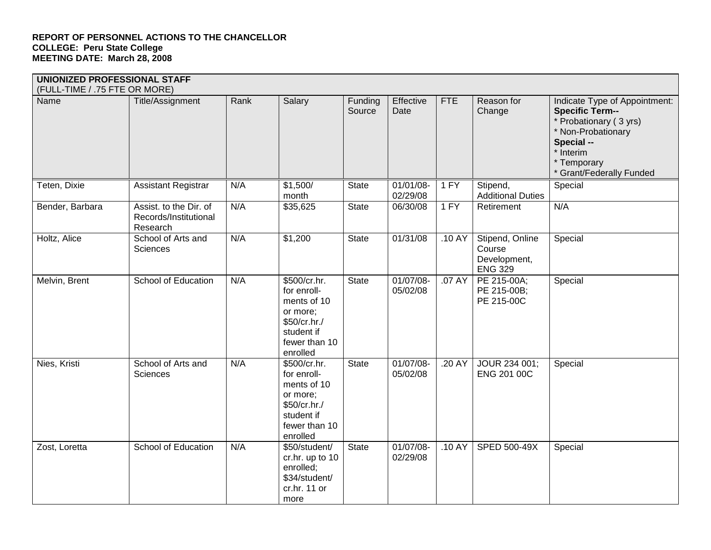| Name            | Title/Assignment                                            | Rank | Salary                                                                                                            | Funding      | Effective             | <b>FTE</b> | Reason for                                                  | Indicate Type of Appointment:                                                                                                                |
|-----------------|-------------------------------------------------------------|------|-------------------------------------------------------------------------------------------------------------------|--------------|-----------------------|------------|-------------------------------------------------------------|----------------------------------------------------------------------------------------------------------------------------------------------|
|                 |                                                             |      |                                                                                                                   | Source       | Date                  |            | Change                                                      | <b>Specific Term--</b><br>* Probationary (3 yrs)<br>* Non-Probationary<br>Special --<br>* Interim<br>* Temporary<br>* Grant/Federally Funded |
| Teten, Dixie    | <b>Assistant Registrar</b>                                  | N/A  | \$1,500/<br>month                                                                                                 | <b>State</b> | 01/01/08-<br>02/29/08 | 1 FY       | Stipend,<br><b>Additional Duties</b>                        | Special                                                                                                                                      |
| Bender, Barbara | Assist. to the Dir. of<br>Records/Institutional<br>Research | N/A  | \$35,625                                                                                                          | <b>State</b> | 06/30/08              | 1 FY       | Retirement                                                  | N/A                                                                                                                                          |
| Holtz, Alice    | School of Arts and<br>Sciences                              | N/A  | \$1,200                                                                                                           | <b>State</b> | 01/31/08              | .10 AY     | Stipend, Online<br>Course<br>Development,<br><b>ENG 329</b> | Special                                                                                                                                      |
| Melvin, Brent   | School of Education                                         | N/A  | \$500/cr.hr.<br>for enroll-<br>ments of 10<br>or more;<br>\$50/cr.hr./<br>student if<br>fewer than 10<br>enrolled | <b>State</b> | 01/07/08-<br>05/02/08 | .07 AY     | PE 215-00A;<br>PE 215-00B;<br>PE 215-00C                    | Special                                                                                                                                      |
| Nies, Kristi    | School of Arts and<br>Sciences                              | N/A  | \$500/cr.hr.<br>for enroll-<br>ments of 10<br>or more;<br>\$50/cr.hr./<br>student if<br>fewer than 10<br>enrolled | <b>State</b> | 01/07/08-<br>05/02/08 | .20 AY     | JOUR 234 001;<br>ENG 201 00C                                | Special                                                                                                                                      |
| Zost, Loretta   | School of Education                                         | N/A  | \$50/student/<br>cr.hr. up to 10<br>enrolled;<br>\$34/student/<br>cr.hr. 11 or<br>more                            | <b>State</b> | 01/07/08-<br>02/29/08 | .10 AY     | SPED 500-49X                                                | Special                                                                                                                                      |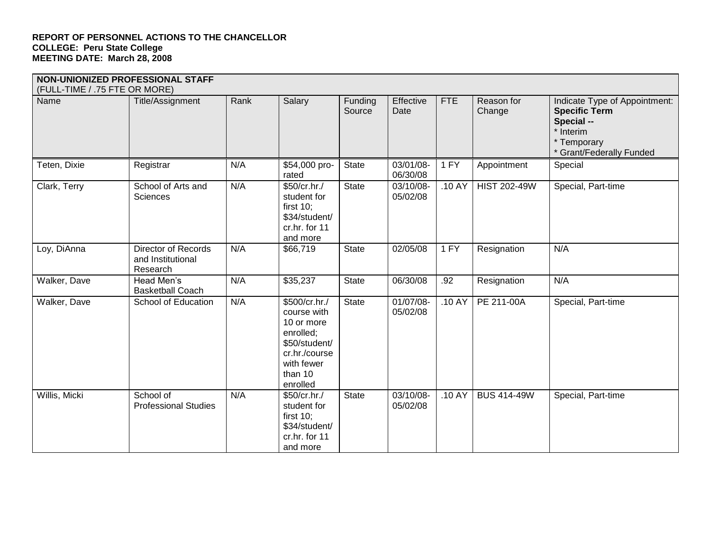|                               | NON-UNIONIZED PROFESSIONAL STAFF                            |      |                                                                                                                                |                   |                       |            |                      |                                                                                                                             |
|-------------------------------|-------------------------------------------------------------|------|--------------------------------------------------------------------------------------------------------------------------------|-------------------|-----------------------|------------|----------------------|-----------------------------------------------------------------------------------------------------------------------------|
| (FULL-TIME / .75 FTE OR MORE) |                                                             |      |                                                                                                                                |                   |                       |            |                      |                                                                                                                             |
| Name                          | Title/Assignment                                            | Rank | Salary                                                                                                                         | Funding<br>Source | Effective<br>Date     | <b>FTE</b> | Reason for<br>Change | Indicate Type of Appointment:<br><b>Specific Term</b><br>Special --<br>* Interim<br>* Temporary<br>* Grant/Federally Funded |
| Teten, Dixie                  | Registrar                                                   | N/A  | \$54,000 pro-<br>rated                                                                                                         | <b>State</b>      | 03/01/08-<br>06/30/08 | 1 FY       | Appointment          | Special                                                                                                                     |
| Clark, Terry                  | School of Arts and<br>Sciences                              | N/A  | \$50/cr.hr./<br>student for<br>first $10$ ;<br>\$34/student/<br>cr.hr. for 11<br>and more                                      | <b>State</b>      | 03/10/08-<br>05/02/08 | .10 AY     | <b>HIST 202-49W</b>  | Special, Part-time                                                                                                          |
| Loy, DiAnna                   | <b>Director of Records</b><br>and Institutional<br>Research | N/A  | \$66,719                                                                                                                       | <b>State</b>      | 02/05/08              | 1 FY       | Resignation          | N/A                                                                                                                         |
| Walker, Dave                  | Head Men's<br><b>Basketball Coach</b>                       | N/A  | \$35,237                                                                                                                       | <b>State</b>      | 06/30/08              | .92        | Resignation          | N/A                                                                                                                         |
| Walker, Dave                  | School of Education                                         | N/A  | \$500/cr.hr./<br>course with<br>10 or more<br>enrolled;<br>\$50/student/<br>cr.hr./course<br>with fewer<br>than 10<br>enrolled | <b>State</b>      | 01/07/08-<br>05/02/08 | .10 AY     | PE 211-00A           | Special, Part-time                                                                                                          |
| Willis, Micki                 | School of<br><b>Professional Studies</b>                    | N/A  | \$50/cr.hr./<br>student for<br>first $10$ ;<br>\$34/student/<br>cr.hr. for 11<br>and more                                      | <b>State</b>      | 03/10/08-<br>05/02/08 | .10 AY     | <b>BUS 414-49W</b>   | Special, Part-time                                                                                                          |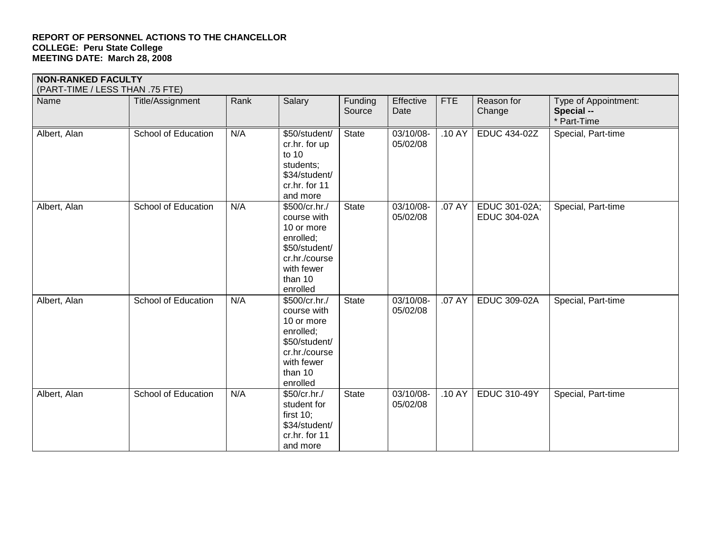| <b>NON-RANKED FACULTY</b><br>(PART-TIME / LESS THAN .75 FTE) |                            |      |                                                                                                                                |                   |                       |            |                                      |                                                   |
|--------------------------------------------------------------|----------------------------|------|--------------------------------------------------------------------------------------------------------------------------------|-------------------|-----------------------|------------|--------------------------------------|---------------------------------------------------|
| Name                                                         | Title/Assignment           | Rank | Salary                                                                                                                         | Funding<br>Source | Effective<br>Date     | <b>FTE</b> | Reason for<br>Change                 | Type of Appointment:<br>Special --<br>* Part-Time |
| Albert, Alan                                                 | School of Education        | N/A  | \$50/student/<br>cr.hr. for up<br>to 10<br>students;<br>\$34/student/<br>cr.hr. for 11<br>and more                             | <b>State</b>      | 03/10/08-<br>05/02/08 | .10 AY     | <b>EDUC 434-02Z</b>                  | Special, Part-time                                |
| Albert, Alan                                                 | <b>School of Education</b> | N/A  | \$500/cr.hr./<br>course with<br>10 or more<br>enrolled;<br>\$50/student/<br>cr.hr./course<br>with fewer<br>than 10<br>enrolled | <b>State</b>      | 03/10/08-<br>05/02/08 | .07 AY     | EDUC 301-02A;<br><b>EDUC 304-02A</b> | Special, Part-time                                |
| Albert, Alan                                                 | School of Education        | N/A  | \$500/cr.hr./<br>course with<br>10 or more<br>enrolled;<br>\$50/student/<br>cr.hr./course<br>with fewer<br>than 10<br>enrolled | <b>State</b>      | 03/10/08-<br>05/02/08 | .07 AY     | <b>EDUC 309-02A</b>                  | Special, Part-time                                |
| Albert, Alan                                                 | <b>School of Education</b> | N/A  | $$50/cr.hr$ .<br>student for<br>first $10$ ;<br>\$34/student/<br>cr.hr. for 11<br>and more                                     | <b>State</b>      | 03/10/08-<br>05/02/08 | .10 AY     | <b>EDUC 310-49Y</b>                  | Special, Part-time                                |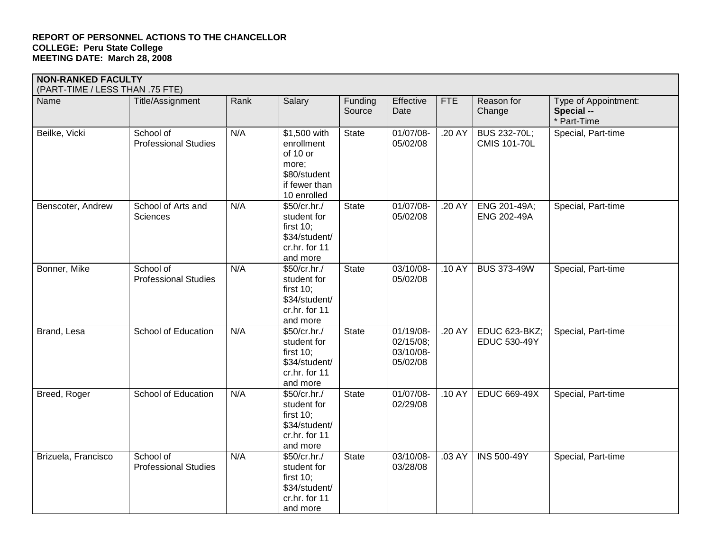| <b>NON-RANKED FACULTY</b><br>(PART-TIME / LESS THAN .75 FTE) |                                          |      |                                                                                                 |                   |                                                 |            |                                             |                                                   |
|--------------------------------------------------------------|------------------------------------------|------|-------------------------------------------------------------------------------------------------|-------------------|-------------------------------------------------|------------|---------------------------------------------|---------------------------------------------------|
| Name                                                         | Title/Assignment                         | Rank | Salary                                                                                          | Funding<br>Source | Effective<br>Date                               | <b>FTE</b> | Reason for<br>Change                        | Type of Appointment:<br>Special --<br>* Part-Time |
| Beilke, Vicki                                                | School of<br><b>Professional Studies</b> | N/A  | \$1,500 with<br>enrollment<br>of 10 or<br>more;<br>\$80/student<br>if fewer than<br>10 enrolled | <b>State</b>      | 01/07/08-<br>05/02/08                           | .20 AY     | BUS 232-70L;<br><b>CMIS 101-70L</b>         | Special, Part-time                                |
| Benscoter, Andrew                                            | School of Arts and<br><b>Sciences</b>    | N/A  | \$50/cr.hr./<br>student for<br>first $10$ ;<br>\$34/student/<br>cr.hr. for 11<br>and more       | <b>State</b>      | 01/07/08-<br>05/02/08                           | .20 AY     | ENG 201-49A;<br><b>ENG 202-49A</b>          | Special, Part-time                                |
| Bonner, Mike                                                 | School of<br><b>Professional Studies</b> | N/A  | \$50/cr.hr./<br>student for<br>first $10$ ;<br>\$34/student/<br>cr.hr. for 11<br>and more       | <b>State</b>      | 03/10/08-<br>05/02/08                           | .10 AY     | <b>BUS 373-49W</b>                          | Special, Part-time                                |
| Brand, Lesa                                                  | <b>School of Education</b>               | N/A  | \$50/cr.hr./<br>student for<br>first $10$ ;<br>\$34/student/<br>cr.hr. for 11<br>and more       | <b>State</b>      | 01/19/08-<br>02/15/08;<br>03/10/08-<br>05/02/08 | .20 AY     | <b>EDUC 623-BKZ;</b><br><b>EDUC 530-49Y</b> | Special, Part-time                                |
| Breed, Roger                                                 | School of Education                      | N/A  | \$50/cr.htm.<br>student for<br>first $10$ ;<br>\$34/student/<br>cr.hr. for 11<br>and more       | <b>State</b>      | 01/07/08-<br>02/29/08                           | .10 AY     | <b>EDUC 669-49X</b>                         | Special, Part-time                                |
| Brizuela, Francisco                                          | School of<br><b>Professional Studies</b> | N/A  | \$50/cr.hr./<br>student for<br>first $10$ ;<br>\$34/student/<br>cr.hr. for 11<br>and more       | <b>State</b>      | 03/10/08-<br>03/28/08                           | .03 AY     | <b>INS 500-49Y</b>                          | Special, Part-time                                |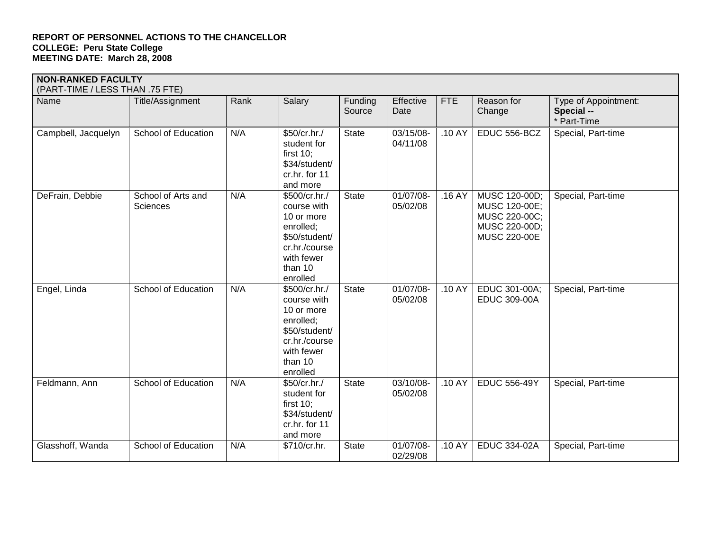### **NON-RANKED FACULTY**

| (PART-TIME / LESS THAN .75 FTE) |                                       |      |                                                                                                                                |                   |                          |            |                                                                                         |                                                   |
|---------------------------------|---------------------------------------|------|--------------------------------------------------------------------------------------------------------------------------------|-------------------|--------------------------|------------|-----------------------------------------------------------------------------------------|---------------------------------------------------|
| Name                            | Title/Assignment                      | Rank | Salary                                                                                                                         | Funding<br>Source | Effective<br>Date        | <b>FTE</b> | Reason for<br>Change                                                                    | Type of Appointment:<br>Special --<br>* Part-Time |
| Campbell, Jacquelyn             | School of Education                   | N/A  | \$50/cr.hr./<br>student for<br>first $10$ ;<br>\$34/student/<br>cr.hr. for 11<br>and more                                      | <b>State</b>      | 03/15/08-<br>04/11/08    | .10 AY     | EDUC 556-BCZ                                                                            | Special, Part-time                                |
| DeFrain, Debbie                 | School of Arts and<br><b>Sciences</b> | N/A  | \$500/cr.hr./<br>course with<br>10 or more<br>enrolled;<br>\$50/student/<br>cr.hr./course<br>with fewer<br>than 10<br>enrolled | <b>State</b>      | $01/07/08$ -<br>05/02/08 | .16AY      | MUSC 120-00D;<br>MUSC 120-00E;<br>MUSC 220-00C;<br>MUSC 220-00D;<br><b>MUSC 220-00E</b> | Special, Part-time                                |
| Engel, Linda                    | School of Education                   | N/A  | \$500/cr.hr./<br>course with<br>10 or more<br>enrolled;<br>\$50/student/<br>cr.hr./course<br>with fewer<br>than 10<br>enrolled | <b>State</b>      | 01/07/08-<br>05/02/08    | .10 AY     | EDUC 301-00A;<br><b>EDUC 309-00A</b>                                                    | Special, Part-time                                |
| Feldmann, Ann                   | School of Education                   | N/A  | \$50/cr.hr./<br>student for<br>first $10$ ;<br>\$34/student/<br>cr.hr. for 11<br>and more                                      | <b>State</b>      | 03/10/08-<br>05/02/08    | .10 AY     | <b>EDUC 556-49Y</b>                                                                     | Special, Part-time                                |
| Glasshoff, Wanda                | School of Education                   | N/A  | \$710/cr.hr.                                                                                                                   | <b>State</b>      | 01/07/08-<br>02/29/08    | .10 AY     | <b>EDUC 334-02A</b>                                                                     | Special, Part-time                                |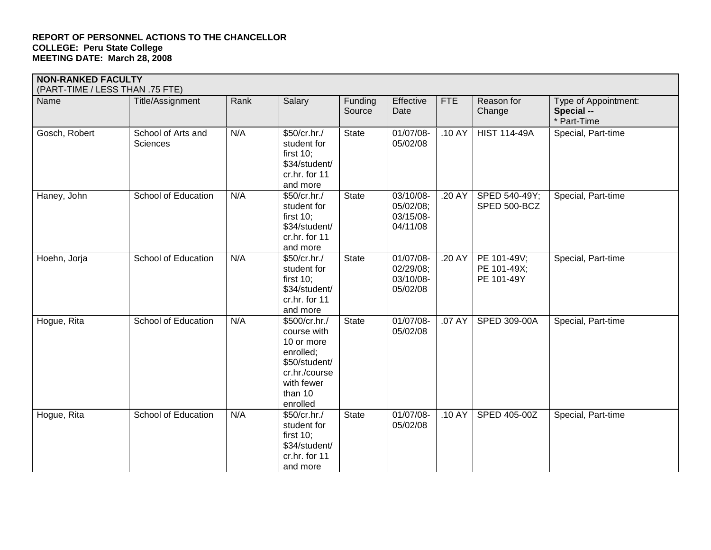| <b>NON-RANKED FACULTY</b><br>(PART-TIME / LESS THAN .75 FTE) |                                |      |                                                                                                                                |                   |                                                 |            |                                          |                                                   |
|--------------------------------------------------------------|--------------------------------|------|--------------------------------------------------------------------------------------------------------------------------------|-------------------|-------------------------------------------------|------------|------------------------------------------|---------------------------------------------------|
| Name                                                         | Title/Assignment               | Rank | Salary                                                                                                                         | Funding<br>Source | Effective<br>Date                               | <b>FTE</b> | Reason for<br>Change                     | Type of Appointment:<br>Special --<br>* Part-Time |
| Gosch, Robert                                                | School of Arts and<br>Sciences | N/A  | \$50/cr.hr./<br>student for<br>first $10$ ;<br>\$34/student/<br>cr.hr. for 11<br>and more                                      | <b>State</b>      | 01/07/08-<br>05/02/08                           | .10 AY     | <b>HIST 114-49A</b>                      | Special, Part-time                                |
| Haney, John                                                  | School of Education            | N/A  | \$50/cr.hr./<br>student for<br>first $10$ ;<br>\$34/student/<br>cr.hr. for 11<br>and more                                      | <b>State</b>      | 03/10/08-<br>05/02/08;<br>03/15/08-<br>04/11/08 | .20 AY     | SPED 540-49Y;<br>SPED 500-BCZ            | Special, Part-time                                |
| Hoehn, Jorja                                                 | School of Education            | N/A  | \$50/cr.hr./<br>student for<br>first $10$ ;<br>\$34/student/<br>cr.hr. for 11<br>and more                                      | <b>State</b>      | 01/07/08-<br>02/29/08;<br>03/10/08-<br>05/02/08 | .20 AY     | PE 101-49V;<br>PE 101-49X;<br>PE 101-49Y | Special, Part-time                                |
| Hogue, Rita                                                  | School of Education            | N/A  | \$500/cr.hr./<br>course with<br>10 or more<br>enrolled;<br>\$50/student/<br>cr.hr./course<br>with fewer<br>than 10<br>enrolled | <b>State</b>      | 01/07/08-<br>05/02/08                           | .07 AY     | SPED 309-00A                             | Special, Part-time                                |
| Hogue, Rita                                                  | School of Education            | N/A  | \$50/cr.hr./<br>student for<br>first $10$ ;<br>\$34/student/<br>cr.hr. for 11<br>and more                                      | <b>State</b>      | 01/07/08-<br>05/02/08                           | .10 AY     | SPED 405-00Z                             | Special, Part-time                                |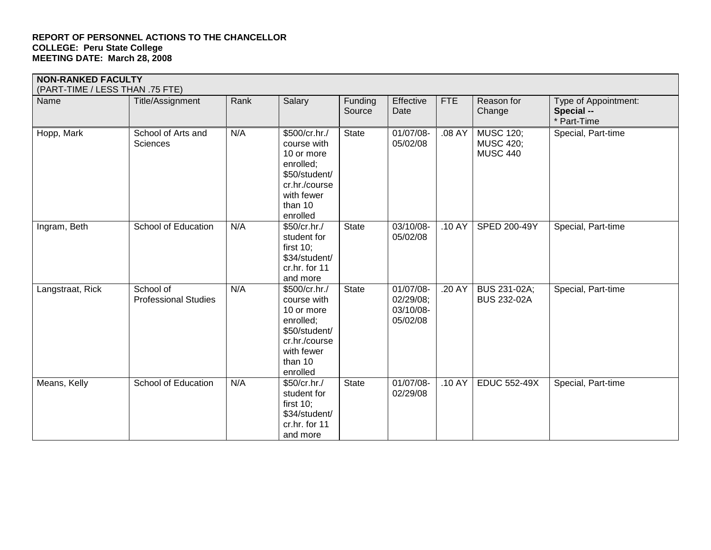| <b>NON-RANKED FACULTY</b><br>(PART-TIME / LESS THAN .75 FTE) |                                          |      |                                                                                                                                |                   |                                                 |            |                                                         |                                                   |
|--------------------------------------------------------------|------------------------------------------|------|--------------------------------------------------------------------------------------------------------------------------------|-------------------|-------------------------------------------------|------------|---------------------------------------------------------|---------------------------------------------------|
| Name                                                         | Title/Assignment                         | Rank | Salary                                                                                                                         | Funding<br>Source | Effective<br>Date                               | <b>FTE</b> | Reason for<br>Change                                    | Type of Appointment:<br>Special --<br>* Part-Time |
| Hopp, Mark                                                   | School of Arts and<br>Sciences           | N/A  | \$500/cr.hr./<br>course with<br>10 or more<br>enrolled;<br>\$50/student/<br>cr.hr./course<br>with fewer<br>than 10<br>enrolled | <b>State</b>      | 01/07/08-<br>05/02/08                           | .08 AY     | <b>MUSC 120;</b><br><b>MUSC 420;</b><br><b>MUSC 440</b> | Special, Part-time                                |
| Ingram, Beth                                                 | School of Education                      | N/A  | \$50/cr.hr./<br>student for<br>first $10$ ;<br>\$34/student/<br>cr.hr. for 11<br>and more                                      | <b>State</b>      | 03/10/08-<br>05/02/08                           | .10 AY     | SPED 200-49Y                                            | Special, Part-time                                |
| Langstraat, Rick                                             | School of<br><b>Professional Studies</b> | N/A  | \$500/cr.hr./<br>course with<br>10 or more<br>enrolled;<br>\$50/student/<br>cr.hr./course<br>with fewer<br>than 10<br>enrolled | <b>State</b>      | 01/07/08-<br>02/29/08;<br>03/10/08-<br>05/02/08 | .20 AY     | <b>BUS 231-02A;</b><br><b>BUS 232-02A</b>               | Special, Part-time                                |
| Means, Kelly                                                 | School of Education                      | N/A  | \$50/cr.hr./<br>student for<br>first $10$ ;<br>\$34/student/<br>cr.hr. for 11<br>and more                                      | <b>State</b>      | 01/07/08-<br>02/29/08                           | .10 AY     | <b>EDUC 552-49X</b>                                     | Special, Part-time                                |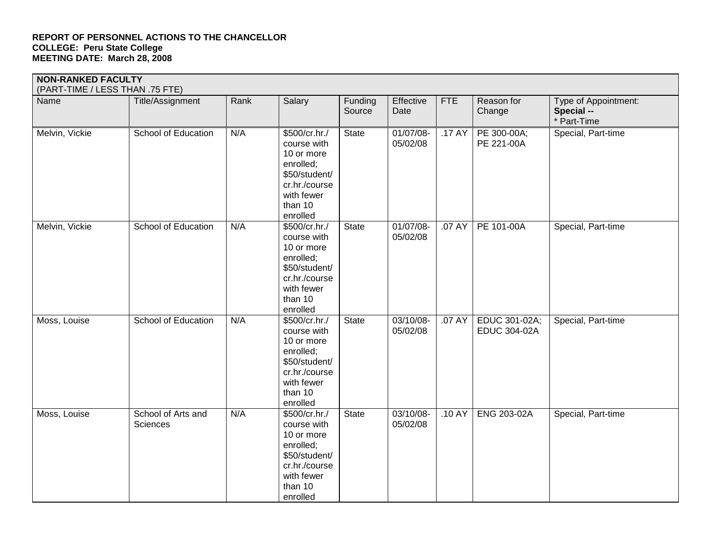|                | <b>NON-RANKED FACULTY</b><br>(PART-TIME / LESS THAN .75 FTE) |      |                                                                                                                                |                   |                       |        |                                      |                                                   |  |  |  |
|----------------|--------------------------------------------------------------|------|--------------------------------------------------------------------------------------------------------------------------------|-------------------|-----------------------|--------|--------------------------------------|---------------------------------------------------|--|--|--|
| Name           | Title/Assignment                                             | Rank | Salary                                                                                                                         | Funding<br>Source | Effective<br>Date     | FTE    | Reason for<br>Change                 | Type of Appointment:<br>Special --<br>* Part-Time |  |  |  |
| Melvin, Vickie | School of Education                                          | N/A  | \$500/cr.hr./<br>course with<br>10 or more<br>enrolled;<br>\$50/student/<br>cr.hr./course<br>with fewer<br>than 10<br>enrolled | <b>State</b>      | 01/07/08-<br>05/02/08 | .17 AY | PE 300-00A;<br>PE 221-00A            | Special, Part-time                                |  |  |  |
| Melvin, Vickie | School of Education                                          | N/A  | \$500/cr.hr./<br>course with<br>10 or more<br>enrolled;<br>\$50/student/<br>cr.hr./course<br>with fewer<br>than 10<br>enrolled | <b>State</b>      | 01/07/08-<br>05/02/08 | .07 AY | PE 101-00A                           | Special, Part-time                                |  |  |  |
| Moss, Louise   | School of Education                                          | N/A  | \$500/cr.hr./<br>course with<br>10 or more<br>enrolled;<br>\$50/student/<br>cr.hr./course<br>with fewer<br>than 10<br>enrolled | <b>State</b>      | 03/10/08-<br>05/02/08 | .07 AY | EDUC 301-02A;<br><b>EDUC 304-02A</b> | Special, Part-time                                |  |  |  |
| Moss, Louise   | School of Arts and<br>Sciences                               | N/A  | \$500/cr.hr./<br>course with<br>10 or more<br>enrolled;<br>\$50/student/<br>cr.hr./course<br>with fewer<br>than 10<br>enrolled | <b>State</b>      | 03/10/08-<br>05/02/08 | .10 AY | ENG 203-02A                          | Special, Part-time                                |  |  |  |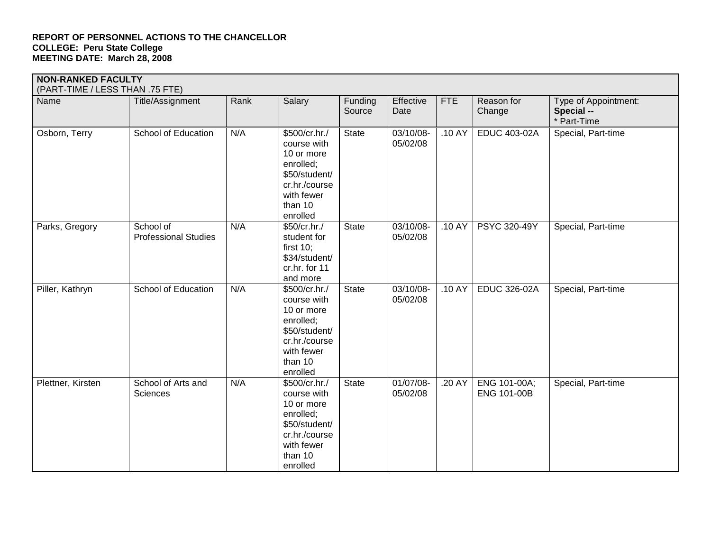| <b>NON-RANKED FACULTY</b><br>(PART-TIME / LESS THAN .75 FTE) |                                          |      |                                                                                                                                |                   |                       |            |                                    |                                                   |
|--------------------------------------------------------------|------------------------------------------|------|--------------------------------------------------------------------------------------------------------------------------------|-------------------|-----------------------|------------|------------------------------------|---------------------------------------------------|
| Name                                                         | Title/Assignment                         | Rank | Salary                                                                                                                         | Funding<br>Source | Effective<br>Date     | <b>FTE</b> | Reason for<br>Change               | Type of Appointment:<br>Special --<br>* Part-Time |
| Osborn, Terry                                                | School of Education                      | N/A  | \$500/cr.hr./<br>course with<br>10 or more<br>enrolled;<br>\$50/student/<br>cr.hr./course<br>with fewer<br>than 10<br>enrolled | <b>State</b>      | 03/10/08-<br>05/02/08 | .10 AY     | <b>EDUC 403-02A</b>                | Special, Part-time                                |
| Parks, Gregory                                               | School of<br><b>Professional Studies</b> | N/A  | \$50/cr.hr./<br>student for<br>first $10$ ;<br>\$34/student/<br>cr.hr. for 11<br>and more                                      | <b>State</b>      | 03/10/08-<br>05/02/08 | .10 AY     | PSYC 320-49Y                       | Special, Part-time                                |
| Piller, Kathryn                                              | School of Education                      | N/A  | \$500/cr.hr./<br>course with<br>10 or more<br>enrolled;<br>\$50/student/<br>cr.hr./course<br>with fewer<br>than 10<br>enrolled | <b>State</b>      | 03/10/08-<br>05/02/08 | .10 AY     | <b>EDUC 326-02A</b>                | Special, Part-time                                |
| Plettner, Kirsten                                            | School of Arts and<br>Sciences           | N/A  | \$500/cr.hr./<br>course with<br>10 or more<br>enrolled;<br>\$50/student/<br>cr.hr./course<br>with fewer<br>than 10<br>enrolled | <b>State</b>      | 01/07/08-<br>05/02/08 | .20 AY     | ENG 101-00A;<br><b>ENG 101-00B</b> | Special, Part-time                                |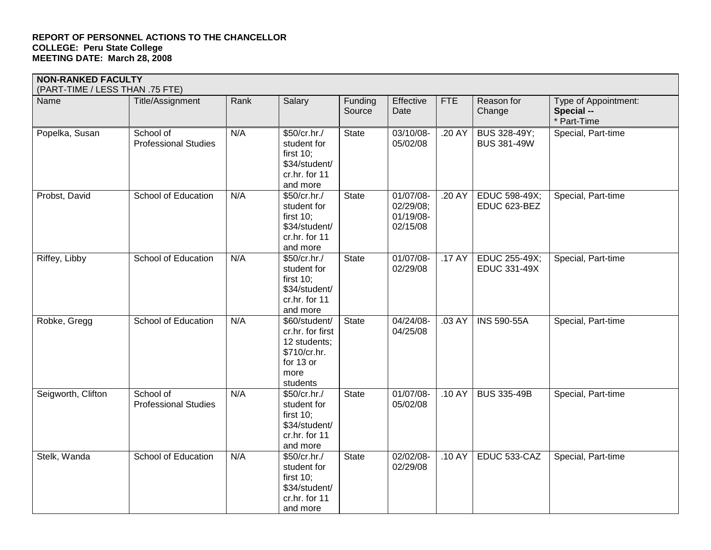| <b>NON-RANKED FACULTY</b>       |                                          |      |                                                                                                    |                   |                                                 |            |                                           |                                                   |  |  |
|---------------------------------|------------------------------------------|------|----------------------------------------------------------------------------------------------------|-------------------|-------------------------------------------------|------------|-------------------------------------------|---------------------------------------------------|--|--|
| (PART-TIME / LESS THAN .75 FTE) |                                          |      |                                                                                                    |                   |                                                 |            |                                           |                                                   |  |  |
| Name                            | Title/Assignment                         | Rank | Salary                                                                                             | Funding<br>Source | Effective<br>Date                               | <b>FTE</b> | Reason for<br>Change                      | Type of Appointment:<br>Special --<br>* Part-Time |  |  |
| Popelka, Susan                  | School of<br><b>Professional Studies</b> | N/A  | \$50/cr.hr./<br>student for<br>first $10$ ;<br>\$34/student/<br>cr.hr. for 11<br>and more          | <b>State</b>      | 03/10/08-<br>05/02/08                           | .20 AY     | <b>BUS 328-49Y;</b><br><b>BUS 381-49W</b> | Special, Part-time                                |  |  |
| Probst, David                   | School of Education                      | N/A  | \$50/cr.hr./<br>student for<br>first $10$ ;<br>\$34/student/<br>cr.hr. for 11<br>and more          | <b>State</b>      | 01/07/08-<br>02/29/08;<br>01/19/08-<br>02/15/08 | .20 AY     | EDUC 598-49X;<br>EDUC 623-BEZ             | Special, Part-time                                |  |  |
| Riffey, Libby                   | School of Education                      | N/A  | \$50/cr.hr./<br>student for<br>first $10$ ;<br>\$34/student/<br>cr.hr. for 11<br>and more          | <b>State</b>      | 01/07/08-<br>02/29/08                           | .17 AY     | EDUC 255-49X;<br><b>EDUC 331-49X</b>      | Special, Part-time                                |  |  |
| Robke, Gregg                    | School of Education                      | N/A  | \$60/student/<br>cr.hr. for first<br>12 students;<br>\$710/cr.hr.<br>for 13 or<br>more<br>students | <b>State</b>      | 04/24/08-<br>04/25/08                           | .03 AY     | <b>INS 590-55A</b>                        | Special, Part-time                                |  |  |
| Seigworth, Clifton              | School of<br><b>Professional Studies</b> | N/A  | \$50/cr.hr./<br>student for<br>first $10$ ;<br>\$34/student/<br>cr.hr. for 11<br>and more          | <b>State</b>      | 01/07/08-<br>05/02/08                           | .10 AY     | <b>BUS 335-49B</b>                        | Special, Part-time                                |  |  |
| Stelk, Wanda                    | School of Education                      | N/A  | \$50/cr.hr./<br>student for<br>first $10$ ;<br>\$34/student/<br>cr.hr. for 11                      | <b>State</b>      | 02/02/08-<br>02/29/08                           | .10 AY     | EDUC 533-CAZ                              | Special, Part-time                                |  |  |

and more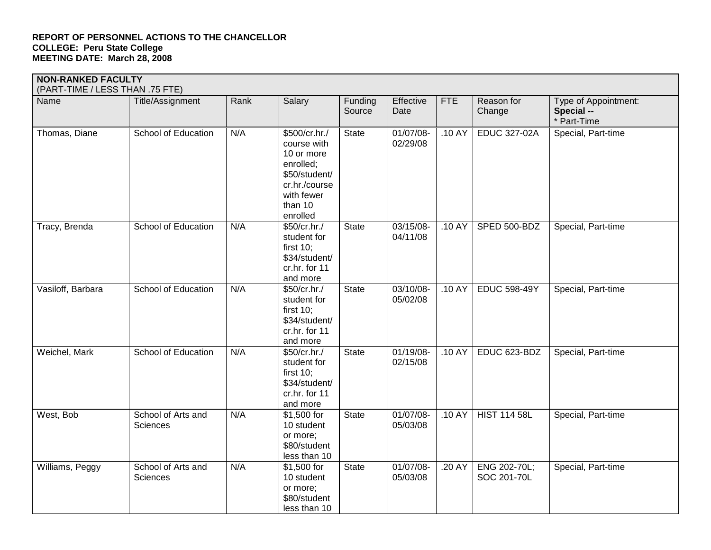| <b>NON-RANKED FACULTY</b>       |                                       |      |                                                                                                                                |                   |                       |            |                             |                                                   |  |
|---------------------------------|---------------------------------------|------|--------------------------------------------------------------------------------------------------------------------------------|-------------------|-----------------------|------------|-----------------------------|---------------------------------------------------|--|
| (PART-TIME / LESS THAN .75 FTE) |                                       |      |                                                                                                                                |                   |                       |            |                             |                                                   |  |
| Name                            | Title/Assignment                      | Rank | Salary                                                                                                                         | Funding<br>Source | Effective<br>Date     | <b>FTE</b> | Reason for<br>Change        | Type of Appointment:<br>Special --<br>* Part-Time |  |
| Thomas, Diane                   | School of Education                   | N/A  | \$500/cr.hr./<br>course with<br>10 or more<br>enrolled;<br>\$50/student/<br>cr.hr./course<br>with fewer<br>than 10<br>enrolled | <b>State</b>      | 01/07/08-<br>02/29/08 | .10 AY     | <b>EDUC 327-02A</b>         | Special, Part-time                                |  |
| Tracy, Brenda                   | School of Education                   | N/A  | \$50/cr.hr./<br>student for<br>first $10$ ;<br>\$34/student/<br>cr.hr. for 11<br>and more                                      | <b>State</b>      | 03/15/08-<br>04/11/08 | .10 AY     | SPED 500-BDZ                | Special, Part-time                                |  |
| Vasiloff, Barbara               | School of Education                   | N/A  | \$50/cr.hr./<br>student for<br>first $10$ ;<br>\$34/student/<br>cr.hr. for 11<br>and more                                      | <b>State</b>      | 03/10/08-<br>05/02/08 | .10 AY     | <b>EDUC 598-49Y</b>         | Special, Part-time                                |  |
| Weichel, Mark                   | School of Education                   | N/A  | \$50/cr.hr./<br>student for<br>first $10$ ;<br>\$34/student/<br>cr.hr. for 11<br>and more                                      | <b>State</b>      | 01/19/08-<br>02/15/08 | .10 AY     | EDUC 623-BDZ                | Special, Part-time                                |  |
| West, Bob                       | School of Arts and<br>Sciences        | N/A  | \$1,500 for<br>10 student<br>or more;<br>\$80/student<br>less than 10                                                          | <b>State</b>      | 01/07/08-<br>05/03/08 | .10 AY     | <b>HIST 114 58L</b>         | Special, Part-time                                |  |
| Williams, Peggy                 | School of Arts and<br><b>Sciences</b> | N/A  | \$1,500 for<br>10 student<br>or more;<br>\$80/student                                                                          | <b>State</b>      | 01/07/08-<br>05/03/08 | .20 AY     | ENG 202-70L;<br>SOC 201-70L | Special, Part-time                                |  |

less than 10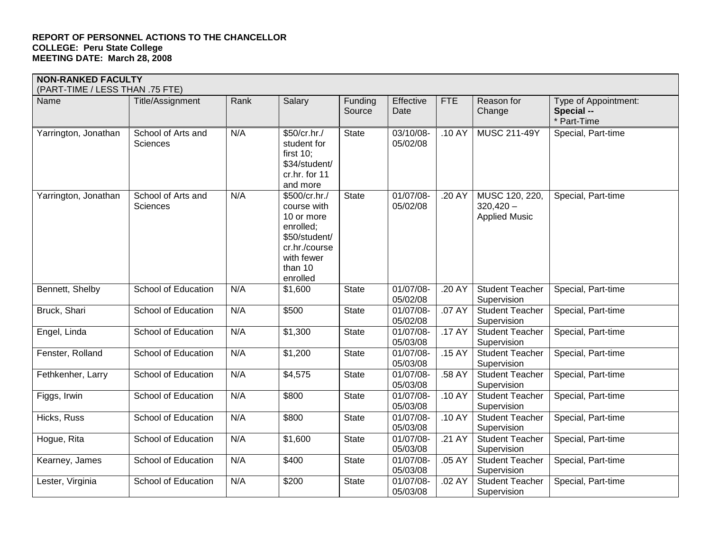| <b>NON-RANKED FACULTY</b>       |                                       |      |                                                                                                                                |                   |                       |            |                                                       |                                                   |
|---------------------------------|---------------------------------------|------|--------------------------------------------------------------------------------------------------------------------------------|-------------------|-----------------------|------------|-------------------------------------------------------|---------------------------------------------------|
| (PART-TIME / LESS THAN .75 FTE) |                                       |      |                                                                                                                                |                   |                       |            |                                                       |                                                   |
| Name                            | Title/Assignment                      | Rank | Salary                                                                                                                         | Funding<br>Source | Effective<br>Date     | <b>FTE</b> | Reason for<br>Change                                  | Type of Appointment:<br>Special --<br>* Part-Time |
| Yarrington, Jonathan            | School of Arts and<br><b>Sciences</b> | N/A  | \$50/cr.hr./<br>student for<br>first $10$ ;<br>\$34/student/<br>cr.hr. for 11<br>and more                                      | <b>State</b>      | 03/10/08-<br>05/02/08 | .10 AY     | MUSC 211-49Y                                          | Special, Part-time                                |
| Yarrington, Jonathan            | School of Arts and<br><b>Sciences</b> | N/A  | \$500/cr.hr./<br>course with<br>10 or more<br>enrolled;<br>\$50/student/<br>cr.hr./course<br>with fewer<br>than 10<br>enrolled | <b>State</b>      | 01/07/08-<br>05/02/08 | .20 AY     | MUSC 120, 220,<br>$320,420 -$<br><b>Applied Music</b> | Special, Part-time                                |
| Bennett, Shelby                 | School of Education                   | N/A  | \$1,600                                                                                                                        | <b>State</b>      | 01/07/08-<br>05/02/08 | .20 AY     | <b>Student Teacher</b><br>Supervision                 | Special, Part-time                                |
| Bruck, Shari                    | School of Education                   | N/A  | \$500                                                                                                                          | <b>State</b>      | 01/07/08-<br>05/02/08 | .07 AY     | <b>Student Teacher</b><br>Supervision                 | Special, Part-time                                |
| Engel, Linda                    | <b>School of Education</b>            | N/A  | \$1,300                                                                                                                        | <b>State</b>      | 01/07/08-<br>05/03/08 | .17AY      | <b>Student Teacher</b><br>Supervision                 | Special, Part-time                                |
| Fenster, Rolland                | School of Education                   | N/A  | \$1,200                                                                                                                        | <b>State</b>      | 01/07/08-<br>05/03/08 | .15 AY     | <b>Student Teacher</b><br>Supervision                 | Special, Part-time                                |
| Fethkenher, Larry               | <b>School of Education</b>            | N/A  | \$4,575                                                                                                                        | <b>State</b>      | 01/07/08-<br>05/03/08 | .58 AY     | <b>Student Teacher</b><br>Supervision                 | Special, Part-time                                |
| Figgs, Irwin                    | School of Education                   | N/A  | \$800                                                                                                                          | <b>State</b>      | 01/07/08-<br>05/03/08 | .10 AY     | <b>Student Teacher</b><br>Supervision                 | Special, Part-time                                |
| Hicks, Russ                     | School of Education                   | N/A  | \$800                                                                                                                          | <b>State</b>      | 01/07/08-<br>05/03/08 | .10 AY     | <b>Student Teacher</b><br>Supervision                 | Special, Part-time                                |
| Hogue, Rita                     | School of Education                   | N/A  | \$1,600                                                                                                                        | <b>State</b>      | 01/07/08-<br>05/03/08 | .21 AY     | Student Teacher<br>Supervision                        | Special, Part-time                                |
| Kearney, James                  | School of Education                   | N/A  | \$400                                                                                                                          | <b>State</b>      | 01/07/08-<br>05/03/08 | .05 AY     | <b>Student Teacher</b><br>Supervision                 | Special, Part-time                                |
| Lester, Virginia                | School of Education                   | N/A  | \$200                                                                                                                          | <b>State</b>      | 01/07/08-<br>05/03/08 | .02 AY     | <b>Student Teacher</b><br>Supervision                 | Special, Part-time                                |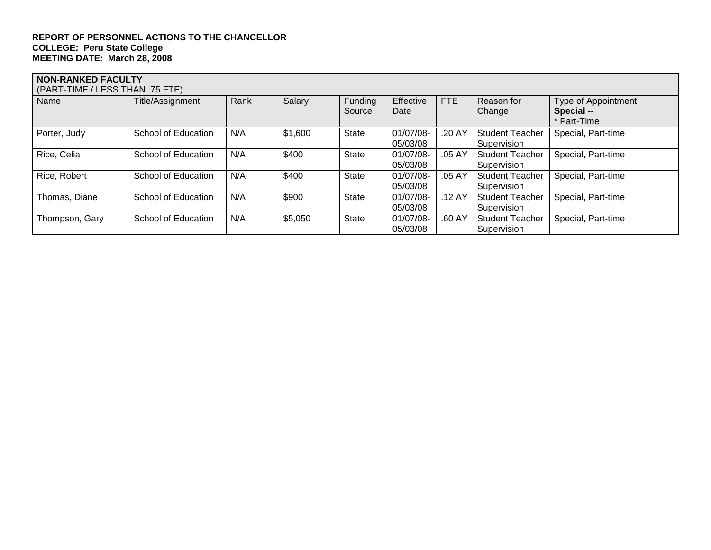| <b>NON-RANKED FACULTY</b><br>(PART-TIME / LESS THAN .75 FTE) |                     |      |         |                          |                       |            |                                       |                                                 |  |  |
|--------------------------------------------------------------|---------------------|------|---------|--------------------------|-----------------------|------------|---------------------------------------|-------------------------------------------------|--|--|
| Name                                                         | Title/Assignment    | Rank | Salary  | <b>Funding</b><br>Source | Effective<br>Date     | <b>FTE</b> | Reason for<br>Change                  | Type of Appointment:<br>Special --<br>Part-Time |  |  |
| Porter, Judy                                                 | School of Education | N/A  | \$1,600 | <b>State</b>             | 01/07/08-<br>05/03/08 | .20 AY     | <b>Student Teacher</b><br>Supervision | Special, Part-time                              |  |  |
| Rice, Celia                                                  | School of Education | N/A  | \$400   | <b>State</b>             | 01/07/08-<br>05/03/08 | .05 AY     | <b>Student Teacher</b><br>Supervision | Special, Part-time                              |  |  |
| Rice, Robert                                                 | School of Education | N/A  | \$400   | <b>State</b>             | 01/07/08-<br>05/03/08 | .05 AY     | <b>Student Teacher</b><br>Supervision | Special, Part-time                              |  |  |
| Thomas, Diane                                                | School of Education | N/A  | \$900   | <b>State</b>             | 01/07/08-<br>05/03/08 | .12AY      | <b>Student Teacher</b><br>Supervision | Special, Part-time                              |  |  |
| Thompson, Gary                                               | School of Education | N/A  | \$5,050 | <b>State</b>             | 01/07/08-<br>05/03/08 | .60 AY     | <b>Student Teacher</b><br>Supervision | Special, Part-time                              |  |  |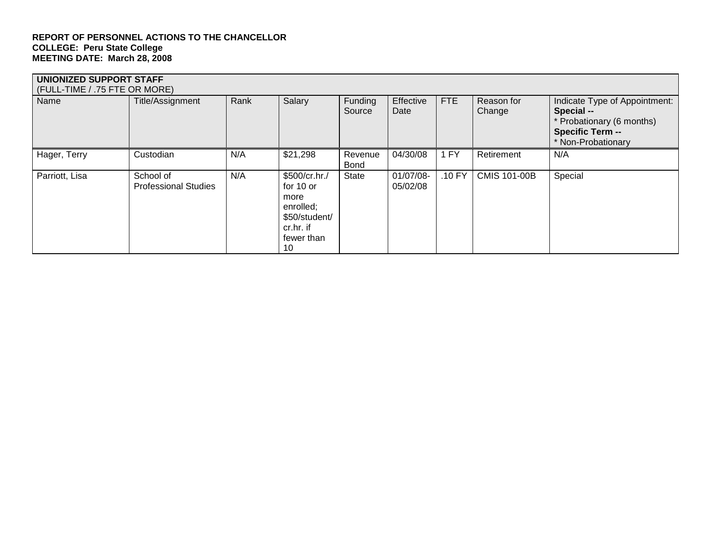| UNIONIZED SUPPORT STAFF<br>(FULL-TIME / .75 FTE OR MORE) |                                          |      |                                                                                                   |                        |                       |            |                      |                                                                                                                           |  |
|----------------------------------------------------------|------------------------------------------|------|---------------------------------------------------------------------------------------------------|------------------------|-----------------------|------------|----------------------|---------------------------------------------------------------------------------------------------------------------------|--|
| Name                                                     | Title/Assignment                         | Rank | Salary                                                                                            | Funding<br>Source      | Effective<br>Date     | <b>FTE</b> | Reason for<br>Change | Indicate Type of Appointment:<br>Special --<br>* Probationary (6 months)<br><b>Specific Term --</b><br>* Non-Probationary |  |
| Hager, Terry                                             | Custodian                                | N/A  | \$21,298                                                                                          | Revenue<br><b>Bond</b> | 04/30/08              | 1 FY       | Retirement           | N/A                                                                                                                       |  |
| Parriott, Lisa                                           | School of<br><b>Professional Studies</b> | N/A  | \$500/cr.hr./<br>for 10 or<br>more<br>enrolled;<br>\$50/student/<br>cr.hr. if<br>fewer than<br>10 | <b>State</b>           | 01/07/08-<br>05/02/08 | .10 FY     | <b>CMIS 101-00B</b>  | Special                                                                                                                   |  |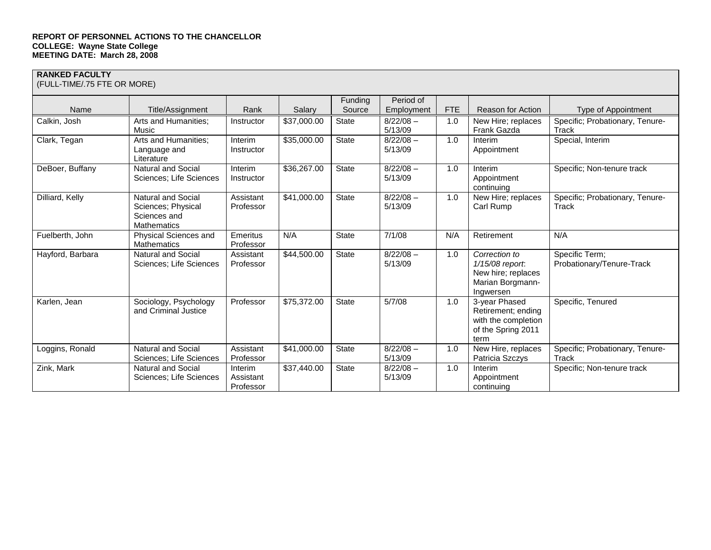#### **RANKED FACULTY**

(FULL-TIME/.75 FTE OR MORE)

|                  |                                                                         |                                   |             | Funding      | Period of              |            |                                                                                          |                                             |
|------------------|-------------------------------------------------------------------------|-----------------------------------|-------------|--------------|------------------------|------------|------------------------------------------------------------------------------------------|---------------------------------------------|
| Name             | Title/Assignment                                                        | Rank                              | Salary      | Source       | Employment             | <b>FTE</b> | <b>Reason for Action</b>                                                                 | Type of Appointment                         |
| Calkin, Josh     | Arts and Humanities;<br>Music                                           | Instructor                        | \$37,000.00 | State        | $8/22/08 -$<br>5/13/09 | 1.0        | New Hire; replaces<br>Frank Gazda                                                        | Specific; Probationary, Tenure-<br>Track    |
| Clark, Tegan     | Arts and Humanities;<br>Language and<br>Literature                      | Interim<br>Instructor             | \$35,000.00 | <b>State</b> | $8/22/08 -$<br>5/13/09 | 1.0        | Interim<br>Appointment                                                                   | Special, Interim                            |
| DeBoer, Buffany  | <b>Natural and Social</b><br>Sciences; Life Sciences                    | Interim<br>Instructor             | \$36,267.00 | <b>State</b> | $8/22/08 -$<br>5/13/09 | 1.0        | Interim<br>Appointment<br>continuing                                                     | Specific; Non-tenure track                  |
| Dilliard, Kelly  | Natural and Social<br>Sciences: Physical<br>Sciences and<br>Mathematics | Assistant<br>Professor            | \$41,000.00 | State        | $8/22/08 -$<br>5/13/09 | 1.0        | New Hire; replaces<br>Carl Rump                                                          | Specific; Probationary, Tenure-<br>Track    |
| Fuelberth, John  | Physical Sciences and<br>Mathematics                                    | Emeritus<br>Professor             | N/A         | <b>State</b> | 7/1/08                 | N/A        | Retirement                                                                               | N/A                                         |
| Hayford, Barbara | <b>Natural and Social</b><br>Sciences; Life Sciences                    | Assistant<br>Professor            | \$44,500.00 | <b>State</b> | $8/22/08 -$<br>5/13/09 | 1.0        | Correction to<br>1/15/08 report.<br>New hire; replaces<br>Marian Borgmann-<br>Ingwersen  | Specific Term;<br>Probationary/Tenure-Track |
| Karlen, Jean     | Sociology, Psychology<br>and Criminal Justice                           | Professor                         | \$75,372.00 | <b>State</b> | 5/7/08                 | 1.0        | 3-year Phased<br>Retirement; ending<br>with the completion<br>of the Spring 2011<br>term | Specific, Tenured                           |
| Loggins, Ronald  | <b>Natural and Social</b><br>Sciences: Life Sciences                    | Assistant<br>Professor            | \$41,000.00 | <b>State</b> | $8/22/08 -$<br>5/13/09 | 1.0        | New Hire, replaces<br>Patricia Szczys                                                    | Specific; Probationary, Tenure-<br>Track    |
| Zink, Mark       | <b>Natural and Social</b><br>Sciences; Life Sciences                    | Interim<br>Assistant<br>Professor | \$37,440.00 | <b>State</b> | $8/22/08 -$<br>5/13/09 | 1.0        | Interim<br>Appointment<br>continuing                                                     | Specific; Non-tenure track                  |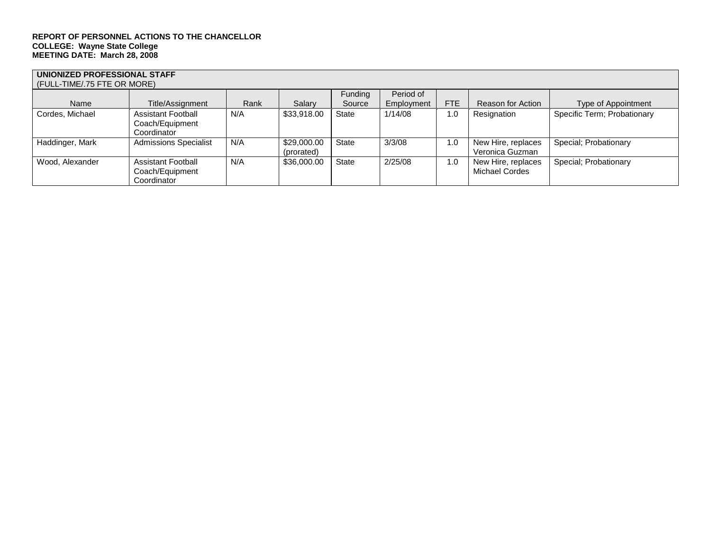## **UNIONIZED PROFESSIONAL STAFF**

| (FULL-TIME/.75 FTE OR MORE) |                                                             |      |                           |              |            |            |                                       |                             |  |
|-----------------------------|-------------------------------------------------------------|------|---------------------------|--------------|------------|------------|---------------------------------------|-----------------------------|--|
|                             |                                                             |      |                           | Funding      | Period of  |            |                                       |                             |  |
| Name                        | Title/Assignment                                            | Rank | Salary                    | Source       | Employment | <b>FTE</b> | Reason for Action                     | Type of Appointment         |  |
| Cordes, Michael             | <b>Assistant Football</b><br>Coach/Equipment<br>Coordinator | N/A  | \$33,918.00               | <b>State</b> | 1/14/08    | 1.0        | Resignation                           | Specific Term; Probationary |  |
| Haddinger, Mark             | <b>Admissions Specialist</b>                                | N/A  | \$29,000.00<br>(prorated) | <b>State</b> | 3/3/08     | 1.0        | New Hire, replaces<br>Veronica Guzman | Special; Probationary       |  |
| Wood, Alexander             | <b>Assistant Football</b><br>Coach/Equipment<br>Coordinator | N/A  | \$36,000.00               | <b>State</b> | 2/25/08    | 1.0        | New Hire, replaces<br>Michael Cordes  | Special; Probationary       |  |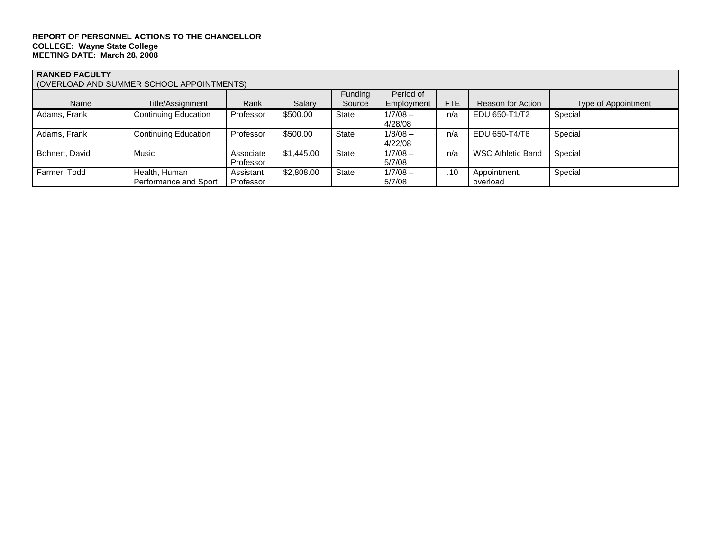#### **RANKED FACULTY**

(OVERLOAD AND SUMMER SCHOOL APPOINTMENTS)

| <u>TO VEITEUAD AND OUIWINER OUTIOUE ALT UINTIMENTUJ</u> |                             |           |            |              |            |     |                          |                     |  |  |
|---------------------------------------------------------|-----------------------------|-----------|------------|--------------|------------|-----|--------------------------|---------------------|--|--|
|                                                         |                             |           |            | Funding      | Period of  |     |                          |                     |  |  |
| Name                                                    | Title/Assignment            | Rank      | Salary     | Source       | Employment | FTE | Reason for Action        | Type of Appointment |  |  |
| Adams, Frank                                            | <b>Continuing Education</b> | Professor | \$500.00   | State        | $1/7/08 -$ | n/a | EDU 650-T1/T2            | Special             |  |  |
|                                                         |                             |           |            |              | 4/28/08    |     |                          |                     |  |  |
| Adams, Frank                                            | <b>Continuing Education</b> | Professor | \$500.00   | <b>State</b> | $1/8/08 -$ | n/a | EDU 650-T4/T6            | Special             |  |  |
|                                                         |                             |           |            |              | 4/22/08    |     |                          |                     |  |  |
| Bohnert, David                                          | Music                       | Associate | \$1,445.00 | <b>State</b> | $1/7/08 -$ | n/a | <b>WSC Athletic Band</b> | Special             |  |  |
|                                                         |                             | Professor |            |              | 5/7/08     |     |                          |                     |  |  |
| Farmer, Todd                                            | Health, Human               | Assistant | \$2,808.00 | <b>State</b> | $1/7/08 -$ | .10 | Appointment,             | Special             |  |  |
|                                                         | Performance and Sport       | Professor |            |              | 5/7/08     |     | overload                 |                     |  |  |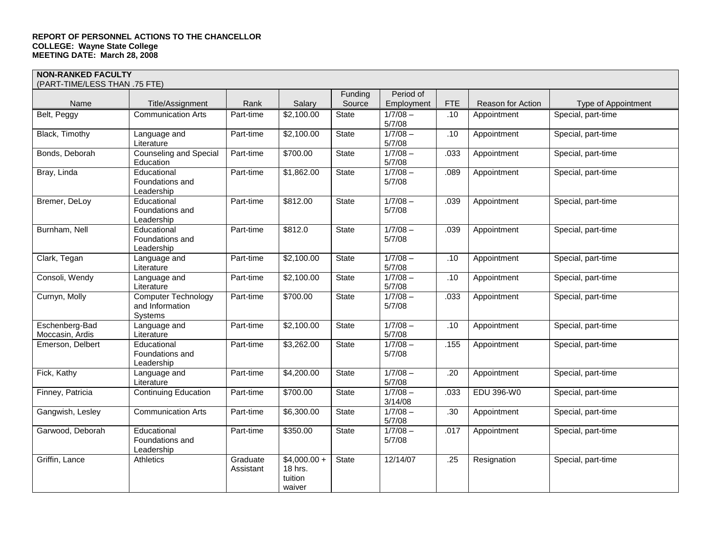## **NON-RANKED FACULTY**

(PART-TIME/LESS THAN .75 FTE)

| (PART-TIME/LESS THAN ./5 FTE)     |                                                          |                       |                                              |              |                       |            |                   |                            |
|-----------------------------------|----------------------------------------------------------|-----------------------|----------------------------------------------|--------------|-----------------------|------------|-------------------|----------------------------|
|                                   |                                                          |                       |                                              | Funding      | Period of             |            |                   |                            |
| Name                              | Title/Assignment                                         | Rank                  | Salary                                       | Source       | Employment            | <b>FTE</b> | Reason for Action | <b>Type of Appointment</b> |
| Belt, Peggy                       | <b>Communication Arts</b>                                | Part-time             | \$2,100.00                                   | State        | $1/7/08 -$<br>5/7/08  | .10        | Appointment       | Special, part-time         |
| Black, Timothy                    | Language and<br>Literature                               | Part-time             | \$2,100.00                                   | State        | $1/7/08 -$<br>5/7/08  | .10        | Appointment       | Special, part-time         |
| Bonds, Deborah                    | <b>Counseling and Special</b><br>Education               | Part-time             | \$700.00                                     | <b>State</b> | $1/7/08 -$<br>5/7/08  | .033       | Appointment       | Special, part-time         |
| Bray, Linda                       | Educational<br>Foundations and<br>Leadership             | Part-time             | \$1,862.00                                   | State        | $1/7/08 -$<br>5/7/08  | .089       | Appointment       | Special, part-time         |
| Bremer, DeLoy                     | Educational<br>Foundations and<br>Leadership             | Part-time             | \$812.00                                     | <b>State</b> | $1/7/08 -$<br>5/7/08  | .039       | Appointment       | Special, part-time         |
| Burnham, Nell                     | Educational<br>Foundations and<br>Leadership             | Part-time             | \$812.0                                      | State        | $1/7/08 -$<br>5/7/08  | .039       | Appointment       | Special, part-time         |
| Clark, Tegan                      | Language and<br>Literature                               | Part-time             | \$2,100.00                                   | State        | $1/7/08 -$<br>5/7/08  | .10        | Appointment       | Special, part-time         |
| Consoli, Wendy                    | Language and<br>Literature                               | Part-time             | \$2,100.00                                   | State        | $1/7/08 -$<br>5/7/08  | .10        | Appointment       | Special, part-time         |
| Curnyn, Molly                     | <b>Computer Technology</b><br>and Information<br>Systems | Part-time             | \$700.00                                     | <b>State</b> | $1/7/08 -$<br>5/7/08  | .033       | Appointment       | Special, part-time         |
| Eschenberg-Bad<br>Moccasin, Ardis | Language and<br>Literature                               | Part-time             | \$2,100.00                                   | State        | $1/7/08 -$<br>5/7/08  | .10        | Appointment       | Special, part-time         |
| Emerson, Delbert                  | Educational<br>Foundations and<br>Leadership             | Part-time             | \$3,262.00                                   | <b>State</b> | $1/7/08 -$<br>5/7/08  | .155       | Appointment       | Special, part-time         |
| Fick, Kathy                       | Language and<br>Literature                               | Part-time             | \$4,200.00                                   | <b>State</b> | $1/7/08 -$<br>5/7/08  | .20        | Appointment       | Special, part-time         |
| Finney, Patricia                  | <b>Continuing Education</b>                              | Part-time             | \$700.00                                     | State        | $1/7/08 -$<br>3/14/08 | .033       | EDU 396-W0        | Special, part-time         |
| Gangwish, Lesley                  | <b>Communication Arts</b>                                | Part-time             | \$6,300.00                                   | State        | $1/7/08 -$<br>5/7/08  | .30        | Appointment       | Special, part-time         |
| Garwood, Deborah                  | Educational<br>Foundations and<br>Leadership             | Part-time             | \$350.00                                     | State        | $1/7/08 -$<br>5/7/08  | .017       | Appointment       | Special, part-time         |
| Griffin, Lance                    | Athletics                                                | Graduate<br>Assistant | $$4,000.00+$<br>18 hrs.<br>tuition<br>waiver | <b>State</b> | 12/14/07              | .25        | Resignation       | Special, part-time         |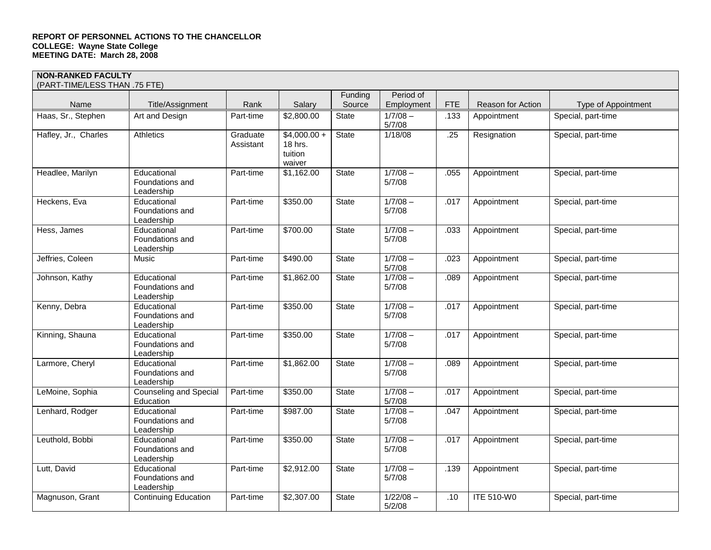## **NON-RANKED FACULTY**

| (PART-TIME/LESS THAN .75 FTE) |                                              |                       |                                               |                   |                         |            |                   |                     |
|-------------------------------|----------------------------------------------|-----------------------|-----------------------------------------------|-------------------|-------------------------|------------|-------------------|---------------------|
| Name                          | Title/Assignment                             | Rank                  | Salary                                        | Funding<br>Source | Period of<br>Employment | <b>FTE</b> | Reason for Action | Type of Appointment |
| Haas, Sr., Stephen            | Art and Design                               | Part-time             | \$2,800.00                                    | State             | $1/7/08 -$<br>5/7/08    | .133       | Appointment       | Special, part-time  |
| Hafley, Jr., Charles          | Athletics                                    | Graduate<br>Assistant | $$4,000.00 +$<br>18 hrs.<br>tuition<br>waiver | <b>State</b>      | 1/18/08                 | .25        | Resignation       | Special, part-time  |
| Headlee, Marilyn              | Educational<br>Foundations and<br>Leadership | Part-time             | \$1,162.00                                    | State             | $1/7/08 -$<br>5/7/08    | .055       | Appointment       | Special, part-time  |
| Heckens, Eva                  | Educational<br>Foundations and<br>Leadership | Part-time             | \$350.00                                      | State             | $1/7/08 -$<br>5/7/08    | .017       | Appointment       | Special, part-time  |
| Hess, James                   | Educational<br>Foundations and<br>Leadership | Part-time             | \$700.00                                      | <b>State</b>      | $1/7/08 -$<br>5/7/08    | .033       | Appointment       | Special, part-time  |
| Jeffries, Coleen              | Music                                        | Part-time             | \$490.00                                      | State             | $1/7/08 -$<br>5/7/08    | .023       | Appointment       | Special, part-time  |
| Johnson, Kathy                | Educational<br>Foundations and<br>Leadership | Part-time             | \$1,862.00                                    | State             | $1/7/08 -$<br>5/7/08    | .089       | Appointment       | Special, part-time  |
| Kenny, Debra                  | Educational<br>Foundations and<br>Leadership | Part-time             | \$350.00                                      | State             | $1/7/08 -$<br>5/7/08    | .017       | Appointment       | Special, part-time  |
| Kinning, Shauna               | Educational<br>Foundations and<br>Leadership | Part-time             | \$350.00                                      | State             | $1/7/08 -$<br>5/7/08    | .017       | Appointment       | Special, part-time  |
| Larmore, Cheryl               | Educational<br>Foundations and<br>Leadership | Part-time             | \$1,862.00                                    | State             | $1/7/08 -$<br>5/7/08    | .089       | Appointment       | Special, part-time  |
| LeMoine, Sophia               | <b>Counseling and Special</b><br>Education   | Part-time             | \$350.00                                      | State             | $1/7/08 -$<br>5/7/08    | .017       | Appointment       | Special, part-time  |
| Lenhard, Rodger               | Educational<br>Foundations and<br>Leadership | Part-time             | \$987.00                                      | <b>State</b>      | $1/7/08 -$<br>5/7/08    | .047       | Appointment       | Special, part-time  |
| Leuthold, Bobbi               | Educational<br>Foundations and<br>Leadership | Part-time             | \$350.00                                      | State             | $1/7/08 -$<br>5/7/08    | .017       | Appointment       | Special, part-time  |
| Lutt, David                   | Educational<br>Foundations and<br>Leadership | Part-time             | \$2,912.00                                    | State             | $1/7/08 -$<br>5/7/08    | .139       | Appointment       | Special, part-time  |
| Magnuson, Grant               | <b>Continuing Education</b>                  | Part-time             | \$2,307.00                                    | State             | $1/22/08 -$<br>5/2/08   | .10        | <b>ITE 510-W0</b> | Special, part-time  |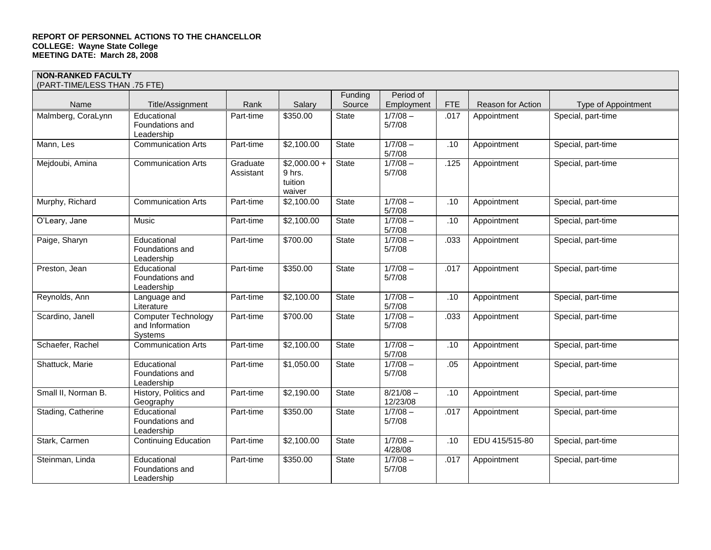## **NON-RANKED FACULTY**

| (PART-TIME/LESS THAN .75 FTE) |                                                          |                       |                                             |              |                         |            |                   |                     |
|-------------------------------|----------------------------------------------------------|-----------------------|---------------------------------------------|--------------|-------------------------|------------|-------------------|---------------------|
|                               |                                                          |                       |                                             | Funding      | Period of               |            |                   |                     |
| Name                          | Title/Assignment                                         | Rank                  | Salary                                      | Source       | Employment              | <b>FTE</b> | Reason for Action | Type of Appointment |
| Malmberg, CoraLynn            | Educational<br>Foundations and<br>Leadership             | Part-time             | \$350.00                                    | <b>State</b> | $1/7/08 -$<br>5/7/08    | .017       | Appointment       | Special, part-time  |
| Mann, Les                     | <b>Communication Arts</b>                                | Part-time             | \$2,100.00                                  | State        | $1/7/08 -$<br>5/7/08    | .10        | Appointment       | Special, part-time  |
| Mejdoubi, Amina               | <b>Communication Arts</b>                                | Graduate<br>Assistant | $$2,000.00+$<br>9 hrs.<br>tuition<br>waiver | State        | $1/7/08 -$<br>5/7/08    | .125       | Appointment       | Special, part-time  |
| Murphy, Richard               | <b>Communication Arts</b>                                | Part-time             | \$2,100.00                                  | State        | $1/7/08 -$<br>5/7/08    | .10        | Appointment       | Special, part-time  |
| O'Leary, Jane                 | Music                                                    | Part-time             | \$2,100.00                                  | State        | $1/7/08 -$<br>5/7/08    | .10        | Appointment       | Special, part-time  |
| Paige, Sharyn                 | Educational<br>Foundations and<br>Leadership             | Part-time             | \$700.00                                    | <b>State</b> | $1/7/08 -$<br>5/7/08    | .033       | Appointment       | Special, part-time  |
| Preston, Jean                 | Educational<br>Foundations and<br>Leadership             | Part-time             | \$350.00                                    | State        | $1/7/08 -$<br>5/7/08    | .017       | Appointment       | Special, part-time  |
| Reynolds, Ann                 | Language and<br>Literature                               | Part-time             | \$2,100.00                                  | State        | $1/7/08 -$<br>5/7/08    | .10        | Appointment       | Special, part-time  |
| Scardino, Janell              | <b>Computer Technology</b><br>and Information<br>Systems | Part-time             | \$700.00                                    | State        | $1/7/08 -$<br>5/7/08    | .033       | Appointment       | Special, part-time  |
| Schaefer, Rachel              | <b>Communication Arts</b>                                | Part-time             | \$2,100.00                                  | <b>State</b> | $1/7/08 -$<br>5/7/08    | .10        | Appointment       | Special, part-time  |
| Shattuck, Marie               | Educational<br>Foundations and<br>Leadership             | Part-time             | \$1,050.00                                  | <b>State</b> | $1/7/08 -$<br>5/7/08    | .05        | Appointment       | Special, part-time  |
| Small II, Norman B.           | History, Politics and<br>Geography                       | Part-time             | \$2,190.00                                  | State        | $8/21/08 -$<br>12/23/08 | .10        | Appointment       | Special, part-time  |
| Stading, Catherine            | Educational<br>Foundations and<br>Leadership             | Part-time             | \$350.00                                    | State        | $1/7/08 -$<br>5/7/08    | .017       | Appointment       | Special, part-time  |
| Stark, Carmen                 | <b>Continuing Education</b>                              | Part-time             | \$2,100.00                                  | State        | $1/7/08 -$<br>4/28/08   | .10        | EDU 415/515-80    | Special, part-time  |
| Steinman, Linda               | Educational<br>Foundations and<br>Leadership             | Part-time             | \$350.00                                    | State        | $1/7/08 -$<br>5/7/08    | .017       | Appointment       | Special, part-time  |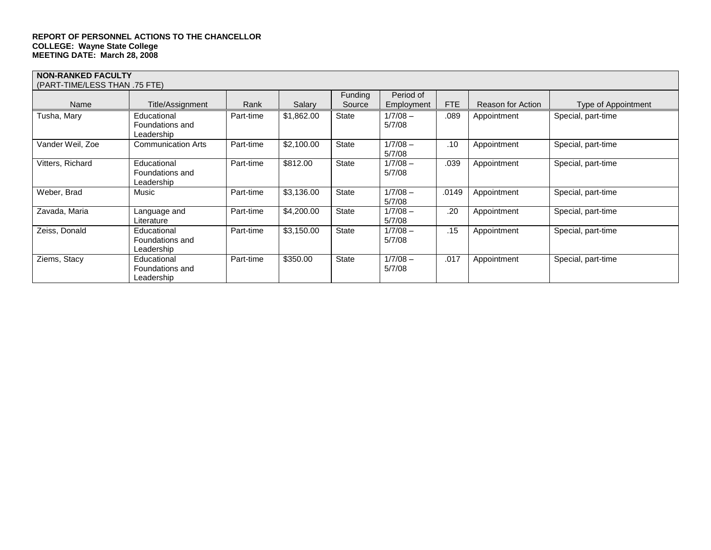#### **NON-RANKED FACULTY**  (PART-TIME/LESS THAN .75 FTE) Name | Title/Assignment | Rank | Salary Funding Source Period of<br>Employment FTE  $\parallel$  Reason for Action  $\parallel$  Type of Appointment Tusha, Mary **Educational** Foundations and Leadership Part-time \$1,862.00 State 1/7/08 – 5/7/08 .089 Appointment Special, part-time Vander Weil, Zoe Communication Arts Part-time \$2,100.00 State 1/7/08 – 5/7/08 .10 | Appointment | Special, part-time Vitters, Richard **Educational** Foundations and Leadership Part-time \$812.00 State 1/7/08 – 5/7/08 .039 Appointment | Special, part-time Weber, Brad Music | Music | Part-time | \$3,136.00 | State | 1/7/08 – 5/7/08 .0149 | Appointment | Special, part-time Zavada, Maria **Language and** Literature Part-time | \$4,200.00 | State | 1/7/08 –  $\frac{5/7/08}{1/7/08}$ .20 | Appointment | Special, part-time Zeiss, Donald Educational Foundations and Leadership Part-time \$3,150.00 State 5/7/08 .15 Appointment Special, part-time Ziems, Stacy | Educational Foundations and Leadership Part-time \$350.00 State 1/7/08 – 5/7/08 .017 Appointment | Special, part-time